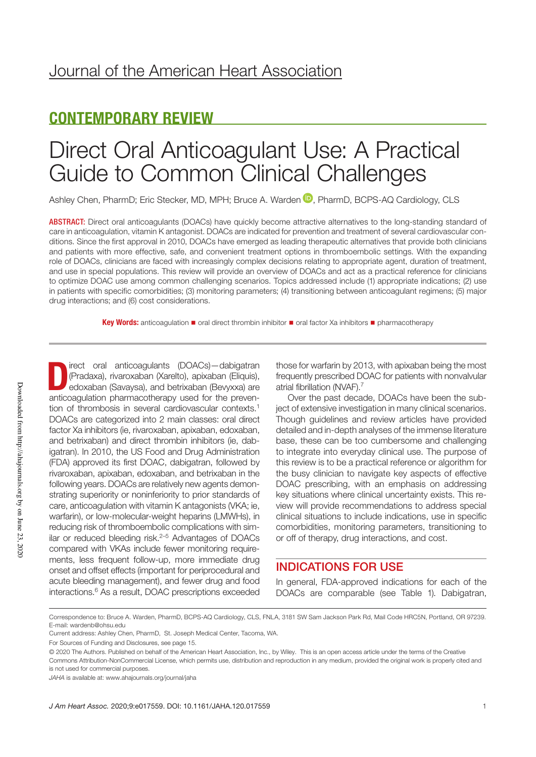## CONTEMPORARY REVIEW

# Direct Oral Anticoagulant Use: A Practical Guide to Common Clinical Challenges

Ashley Chen, PharmD; Eric Stecker, MD, MPH; Bruce A. Warden  $\mathbb D$ , PharmD, BCPS-AQ Cardiology, CLS

ABSTRACT: Direct oral anticoagulants (DOACs) have quickly become attractive alternatives to the long-standing standard of care in anticoagulation, vitamin K antagonist. DOACs are indicated for prevention and treatment of several cardiovascular conditions. Since the first approval in 2010, DOACs have emerged as leading therapeutic alternatives that provide both clinicians and patients with more effective, safe, and convenient treatment options in thromboembolic settings. With the expanding role of DOACs, clinicians are faced with increasingly complex decisions relating to appropriate agent, duration of treatment, and use in special populations. This review will provide an overview of DOACs and act as a practical reference for clinicians to optimize DOAC use among common challenging scenarios. Topics addressed include (1) appropriate indications; (2) use in patients with specific comorbidities; (3) monitoring parameters; (4) transitioning between anticoagulant regimens; (5) major drug interactions; and (6) cost considerations.

Key Words: anticoagulation ■ oral direct thrombin inhibitor ■ oral factor Xa inhibitors ■ pharmacotherapy

Direct oral anticoagulants (DOACs)—dabigatran (Pradaxa), rivaroxaban (Xarelto), apixaban (Eliquis), edoxaban (Savaysa), and betrixaban (Bevyxxa) are<br>entiscere dating phermes atherent used for the exava (Pradaxa), rivaroxaban (Xarelto), apixaban (Eliquis), anticoagulation pharmacotherapy used for the prevention of thrombosis in several cardiovascular contexts.<sup>1</sup> DOACs are categorized into 2 main classes: oral direct factor Xa inhibitors (ie, rivaroxaban, apixaban, edoxaban, and betrixaban) and direct thrombin inhibitors (ie, dabigatran). In 2010, the US Food and Drug Administration (FDA) approved its first DOAC, dabigatran, followed by rivaroxaban, apixaban, edoxaban, and betrixaban in the following years. DOACs are relatively new agents demonstrating superiority or noninferiority to prior standards of care, anticoagulation with vitamin K antagonists (VKA; ie, warfarin), or low-molecular-weight heparins (LMWHs), in reducing risk of thromboembolic complications with similar or reduced bleeding risk. $2-5$  Advantages of DOACs compared with VKAs include fewer monitoring requirements, less frequent follow-up, more immediate drug onset and offset effects (important for periprocedural and acute bleeding management), and fewer drug and food interactions.6 As a result, DOAC prescriptions exceeded

those for warfarin by 2013, with apixaban being the most frequently prescribed DOAC for patients with nonvalvular atrial fibrillation (NVAF).7

Over the past decade, DOACs have been the subject of extensive investigation in many clinical scenarios. Though guidelines and review articles have provided detailed and in-depth analyses of the immense literature base, these can be too cumbersome and challenging to integrate into everyday clinical use. The purpose of this review is to be a practical reference or algorithm for the busy clinician to navigate key aspects of effective DOAC prescribing, with an emphasis on addressing key situations where clinical uncertainty exists. This review will provide recommendations to address special clinical situations to include indications, use in specific comorbidities, monitoring parameters, transitioning to or off of therapy, drug interactions, and cost.

## INDICATIONS FOR USE

In general, FDA-approved indications for each of the DOACs are comparable (see Table 1). Dabigatran,

Correspondence to: Bruce A. Warden, PharmD, BCPS-AQ Cardiology, CLS, FNLA, 3181 SW Sam Jackson Park Rd, Mail Code HRC5N, Portland, OR 97239. E-mail: wardenb@ohsu.edu

Current address: Ashley Chen, PharmD, St. Joseph Medical Center, Tacoma, WA.

For Sources of Funding and Disclosures, see page 15.

<sup>© 2020</sup> The Authors. Published on behalf of the American Heart Association, Inc., by Wiley. This is an open access article under the terms of the Creative Commons Attribution-NonCommercial License, which permits use, distribution and reproduction in any medium, provided the original work is properly cited and is not used for commercial purposes.

*JAHA* is available at: www.ahajournals.org/journal/jaha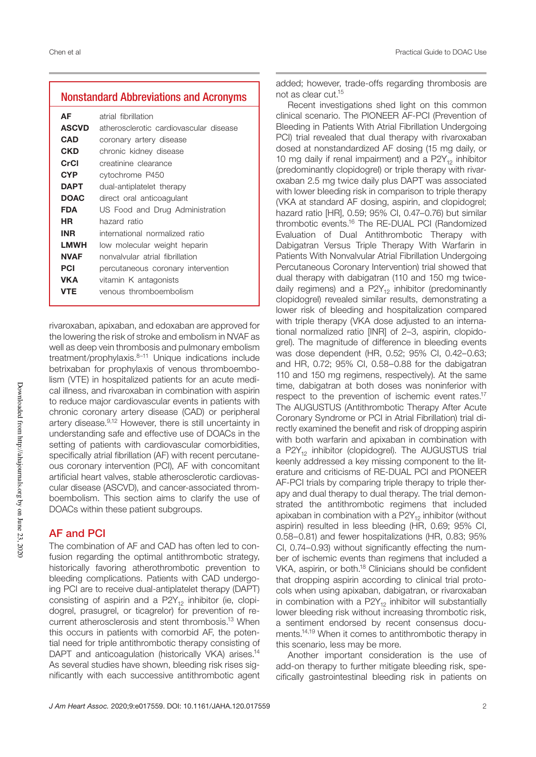## Nonstandard Abbreviations and Acronyms

| АF           | atrial fibrillation                    |
|--------------|----------------------------------------|
| <b>ASCVD</b> | atherosclerotic cardiovascular disease |
| CAD          | coronary artery disease                |
| CKD          | chronic kidney disease                 |
| CrCl         | creatinine clearance                   |
| CYP          | cytochrome P450                        |
| <b>DAPT</b>  | dual-antiplatelet therapy              |
| <b>DOAC</b>  | direct oral anticoaqulant              |
| <b>FDA</b>   | US Food and Drug Administration        |
| HR           | hazard ratio                           |
| <b>INR</b>   | international normalized ratio         |
| LMWH         | low molecular weight heparin           |
| <b>NVAF</b>  | nonvalvular atrial fibrillation        |
| PCI          | percutaneous coronary intervention     |
| VKA          | vitamin K antagonists                  |
| VTE          | venous thromboembolism                 |

rivaroxaban, apixaban, and edoxaban are approved for the lowering the risk of stroke and embolism in NVAF as well as deep vein thrombosis and pulmonary embolism treatment/prophylaxis.<sup>8-11</sup> Unique indications include betrixaban for prophylaxis of venous thromboembolism (VTE) in hospitalized patients for an acute medical illness, and rivaroxaban in combination with aspirin to reduce major cardiovascular events in patients with chronic coronary artery disease (CAD) or peripheral artery disease.9,12 However, there is still uncertainty in understanding safe and effective use of DOACs in the setting of patients with cardiovascular comorbidities, specifically atrial fibrillation (AF) with recent percutaneous coronary intervention (PCI), AF with concomitant artificial heart valves, stable atherosclerotic cardiovascular disease (ASCVD), and cancer-associated thromboembolism. This section aims to clarify the use of DOACs within these patient subgroups.

## AF and PCI

The combination of AF and CAD has often led to confusion regarding the optimal antithrombotic strategy, historically favoring atherothrombotic prevention to bleeding complications. Patients with CAD undergoing PCI are to receive dual-antiplatelet therapy (DAPT) consisting of aspirin and a  $P2Y_{12}$  inhibitor (ie, clopidogrel, prasugrel, or ticagrelor) for prevention of recurrent atherosclerosis and stent thrombosis.13 When this occurs in patients with comorbid AF, the potential need for triple antithrombotic therapy consisting of DAPT and anticoagulation (historically VKA) arises.<sup>14</sup> As several studies have shown, bleeding risk rises significantly with each successive antithrombotic agent added; however, trade-offs regarding thrombosis are not as clear cut.15

Recent investigations shed light on this common clinical scenario. The PIONEER AF-PCI (Prevention of Bleeding in Patients With Atrial Fibrillation Undergoing PCI) trial revealed that dual therapy with rivaroxaban dosed at nonstandardized AF dosing (15 mg daily, or 10 mg daily if renal impairment) and a  $P2Y_{12}$  inhibitor (predominantly clopidogrel) or triple therapy with rivaroxaban 2.5 mg twice daily plus DAPT was associated with lower bleeding risk in comparison to triple therapy (VKA at standard AF dosing, aspirin, and clopidogrel; hazard ratio [HR], 0.59; 95% CI, 0.47–0.76) but similar thrombotic events.16 The RE-DUAL PCI (Randomized Evaluation of Dual Antithrombotic Therapy with Dabigatran Versus Triple Therapy With Warfarin in Patients With Nonvalvular Atrial Fibrillation Undergoing Percutaneous Coronary Intervention) trial showed that dual therapy with dabigatran (110 and 150 mg twicedaily regimens) and a  $P2Y_{12}$  inhibitor (predominantly clopidogrel) revealed similar results, demonstrating a lower risk of bleeding and hospitalization compared with triple therapy (VKA dose adjusted to an international normalized ratio [INR] of 2–3, aspirin, clopidogrel). The magnitude of difference in bleeding events was dose dependent (HR, 0.52; 95% CI, 0.42–0.63; and HR, 0.72; 95% CI, 0.58–0.88 for the dabigatran 110 and 150 mg regimens, respectively). At the same time, dabigatran at both doses was noninferior with respect to the prevention of ischemic event rates.<sup>17</sup> The AUGUSTUS (Antithrombotic Therapy After Acute Coronary Syndrome or PCI in Atrial Fibrillation) trial directly examined the benefit and risk of dropping aspirin with both warfarin and apixaban in combination with a  $P2Y_{12}$  inhibitor (clopidogrel). The AUGUSTUS trial keenly addressed a key missing component to the literature and criticisms of RE-DUAL PCI and PIONEER AF-PCI trials by comparing triple therapy to triple therapy and dual therapy to dual therapy. The trial demonstrated the antithrombotic regimens that included apixaban in combination with a  $P2Y_{12}$  inhibitor (without aspirin) resulted in less bleeding (HR, 0.69; 95% CI, 0.58–0.81) and fewer hospitalizations (HR, 0.83; 95% CI, 0.74–0.93) without significantly effecting the number of ischemic events than regimens that included a VKA, aspirin, or both.<sup>18</sup> Clinicians should be confident that dropping aspirin according to clinical trial protocols when using apixaban, dabigatran, or rivaroxaban in combination with a  $P2Y_{12}$  inhibitor will substantially lower bleeding risk without increasing thrombotic risk, a sentiment endorsed by recent consensus documents.14,19 When it comes to antithrombotic therapy in this scenario, less may be more.

Another important consideration is the use of add-on therapy to further mitigate bleeding risk, specifically gastrointestinal bleeding risk in patients on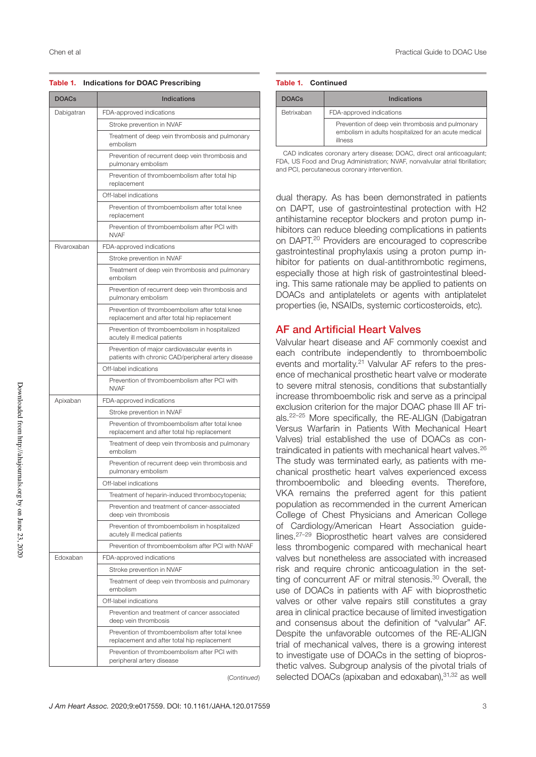#### Table 1. Indications for DOAC Prescribing

| <b>DOACs</b> | <b>Indications</b>                                                                                  |
|--------------|-----------------------------------------------------------------------------------------------------|
| Dabigatran   | FDA-approved indications                                                                            |
|              | Stroke prevention in NVAF                                                                           |
|              | Treatment of deep vein thrombosis and pulmonary<br>embolism                                         |
|              | Prevention of recurrent deep vein thrombosis and<br>pulmonary embolism                              |
|              | Prevention of thromboembolism after total hip<br>replacement                                        |
|              | Off-label indications                                                                               |
|              | Prevention of thromboembolism after total knee<br>replacement                                       |
|              | Prevention of thromboembolism after PCI with<br><b>NVAF</b>                                         |
| Rivaroxaban  | FDA-approved indications                                                                            |
|              | Stroke prevention in NVAF                                                                           |
|              | Treatment of deep vein thrombosis and pulmonary<br>embolism                                         |
|              | Prevention of recurrent deep vein thrombosis and<br>pulmonary embolism                              |
|              | Prevention of thromboembolism after total knee<br>replacement and after total hip replacement       |
|              | Prevention of thromboembolism in hospitalized<br>acutely ill medical patients                       |
|              | Prevention of major cardiovascular events in<br>patients with chronic CAD/peripheral artery disease |
|              | Off-label indications                                                                               |
|              | Prevention of thromboembolism after PCI with<br><b>NVAF</b>                                         |
| Apixaban     | FDA-approved indications                                                                            |
|              | Stroke prevention in NVAF                                                                           |
|              | Prevention of thromboembolism after total knee<br>replacement and after total hip replacement       |
|              | Treatment of deep vein thrombosis and pulmonary<br>embolism                                         |
|              | Prevention of recurrent deep vein thrombosis and<br>pulmonary embolism                              |
|              | Off-label indications                                                                               |
|              | Treatment of heparin-induced thrombocytopenia;                                                      |
|              | Prevention and treatment of cancer-associated<br>deep vein thrombosis                               |
|              | Prevention of thromboembolism in hospitalized<br>acutely ill medical patients                       |
|              | Prevention of thromboembolism after PCI with NVAF                                                   |
| Edoxaban     | FDA-approved indications                                                                            |
|              | Stroke prevention in NVAF                                                                           |
|              | Treatment of deep vein thrombosis and pulmonary<br>embolism                                         |
|              | Off-label indications                                                                               |
|              | Prevention and treatment of cancer associated<br>deep vein thrombosis                               |
|              | Prevention of thromboembolism after total knee<br>replacement and after total hip replacement       |
|              | Prevention of thromboembolism after PCI with<br>peripheral artery disease                           |

(*Continued*)

#### Table 1. Continued

| <b>DOACs</b> | Indications                                                                                                         |
|--------------|---------------------------------------------------------------------------------------------------------------------|
| Betrixaban   | FDA-approved indications                                                                                            |
|              | Prevention of deep vein thrombosis and pulmonary<br>embolism in adults hospitalized for an acute medical<br>illness |

CAD indicates coronary artery disease; DOAC, direct oral anticoagulant; FDA, US Food and Drug Administration; NVAF, nonvalvular atrial fibrillation; and PCI, percutaneous coronary intervention.

dual therapy. As has been demonstrated in patients on DAPT, use of gastrointestinal protection with H2 antihistamine receptor blockers and proton pump inhibitors can reduce bleeding complications in patients on DAPT.20 Providers are encouraged to coprescribe gastrointestinal prophylaxis using a proton pump inhibitor for patients on dual-antithrombotic regimens, especially those at high risk of gastrointestinal bleeding. This same rationale may be applied to patients on DOACs and antiplatelets or agents with antiplatelet properties (ie, NSAIDs, systemic corticosteroids, etc).

## AF and Artificial Heart Valves

Valvular heart disease and AF commonly coexist and each contribute independently to thromboembolic events and mortality.21 Valvular AF refers to the presence of mechanical prosthetic heart valve or moderate to severe mitral stenosis, conditions that substantially increase thromboembolic risk and serve as a principal exclusion criterion for the major DOAC phase III AF trials.22–25 More specifically, the RE-ALIGN (Dabigatran Versus Warfarin in Patients With Mechanical Heart Valves) trial established the use of DOACs as contraindicated in patients with mechanical heart valves.<sup>26</sup> The study was terminated early, as patients with mechanical prosthetic heart valves experienced excess thromboembolic and bleeding events. Therefore, VKA remains the preferred agent for this patient population as recommended in the current American College of Chest Physicians and American College of Cardiology/American Heart Association guidelines.27–29 Bioprosthetic heart valves are considered less thrombogenic compared with mechanical heart valves but nonetheless are associated with increased risk and require chronic anticoagulation in the setting of concurrent AF or mitral stenosis.<sup>30</sup> Overall, the use of DOACs in patients with AF with bioprosthetic valves or other valve repairs still constitutes a gray area in clinical practice because of limited investigation and consensus about the definition of "valvular" AF. Despite the unfavorable outcomes of the RE-ALIGN trial of mechanical valves, there is a growing interest to investigate use of DOACs in the setting of bioprosthetic valves. Subgroup analysis of the pivotal trials of selected DOACs (apixaban and edoxaban), 31,32 as well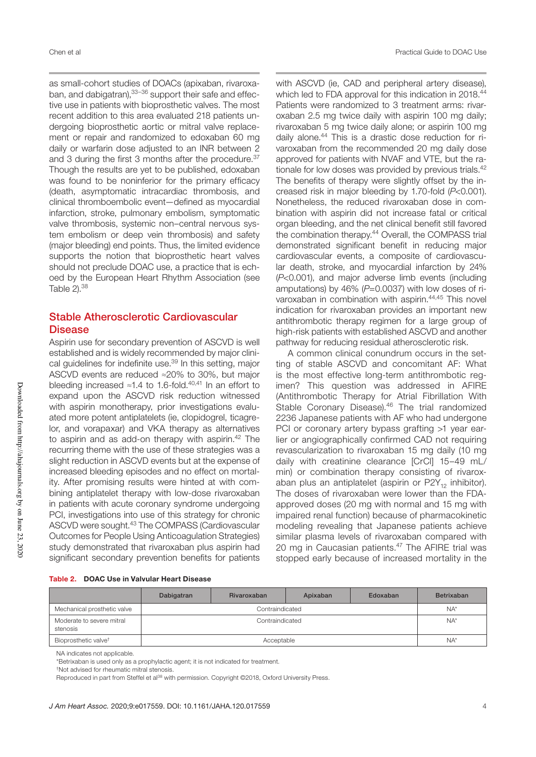as small-cohort studies of DOACs (apixaban, rivaroxaban, and dabigatran), 33-36 support their safe and effective use in patients with bioprosthetic valves. The most recent addition to this area evaluated 218 patients undergoing bioprosthetic aortic or mitral valve replacement or repair and randomized to edoxaban 60 mg daily or warfarin dose adjusted to an INR between 2 and 3 during the first 3 months after the procedure.<sup>37</sup> Though the results are yet to be published, edoxaban was found to be noninferior for the primary efficacy (death, asymptomatic intracardiac thrombosis, and clinical thromboembolic event—defined as myocardial infarction, stroke, pulmonary embolism, symptomatic valve thrombosis, systemic non–central nervous system embolism or deep vein thrombosis) and safety (major bleeding) end points. Thus, the limited evidence supports the notion that bioprosthetic heart valves should not preclude DOAC use, a practice that is echoed by the European Heart Rhythm Association (see Table  $2$ ).  $38$ 

## Stable Atherosclerotic Cardiovascular **Disease**

Aspirin use for secondary prevention of ASCVD is well established and is widely recommended by major clinical guidelines for indefinite use.<sup>39</sup> In this setting, major ASCVD events are reduced ≈20% to 30%, but major bleeding increased ≈1.4 to 1.6-fold.40,41 In an effort to expand upon the ASCVD risk reduction witnessed with aspirin monotherapy, prior investigations evaluated more potent antiplatelets (ie, clopidogrel, ticagrelor, and vorapaxar) and VKA therapy as alternatives to aspirin and as add-on therapy with aspirin.<sup>42</sup> The recurring theme with the use of these strategies was a slight reduction in ASCVD events but at the expense of increased bleeding episodes and no effect on mortality. After promising results were hinted at with combining antiplatelet therapy with low-dose rivaroxaban in patients with acute coronary syndrome undergoing PCI, investigations into use of this strategy for chronic ASCVD were sought.43 The COMPASS (Cardiovascular Outcomes for People Using Anticoagulation Strategies) study demonstrated that rivaroxaban plus aspirin had significant secondary prevention benefits for patients

with ASCVD (ie, CAD and peripheral artery disease), which led to FDA approval for this indication in 2018.<sup>44</sup> Patients were randomized to 3 treatment arms: rivaroxaban 2.5 mg twice daily with aspirin 100 mg daily; rivaroxaban 5 mg twice daily alone; or aspirin 100 mg daily alone.<sup>44</sup> This is a drastic dose reduction for rivaroxaban from the recommended 20 mg daily dose approved for patients with NVAF and VTE, but the rationale for low doses was provided by previous trials.<sup>42</sup> The benefits of therapy were slightly offset by the increased risk in major bleeding by 1.70-fold (*P*<0.001). Nonetheless, the reduced rivaroxaban dose in combination with aspirin did not increase fatal or critical organ bleeding, and the net clinical benefit still favored the combination therapy.44 Overall, the COMPASS trial demonstrated significant benefit in reducing major cardiovascular events, a composite of cardiovascular death, stroke, and myocardial infarction by 24% (*P*<0.001), and major adverse limb events (including amputations) by 46% (P=0.0037) with low doses of rivaroxaban in combination with aspirin.<sup>44,45</sup> This novel indication for rivaroxaban provides an important new antithrombotic therapy regimen for a large group of high-risk patients with established ASCVD and another pathway for reducing residual atherosclerotic risk.

A common clinical conundrum occurs in the setting of stable ASCVD and concomitant AF: What is the most effective long-term antithrombotic regimen? This question was addressed in AFIRE (Antithrombotic Therapy for Atrial Fibrillation With Stable Coronary Disease).<sup>46</sup> The trial randomized 2236 Japanese patients with AF who had undergone PCI or coronary artery bypass grafting >1 year earlier or angiographically confirmed CAD not requiring revascularization to rivaroxaban 15 mg daily (10 mg daily with creatinine clearance [CrCl] 15–49 mL/ min) or combination therapy consisting of rivaroxaban plus an antiplatelet (aspirin or  $P2Y_{12}$  inhibitor). The doses of rivaroxaban were lower than the FDAapproved doses (20 mg with normal and 15 mg with impaired renal function) because of pharmacokinetic modeling revealing that Japanese patients achieve similar plasma levels of rivaroxaban compared with 20 mg in Caucasian patients.<sup>47</sup> The AFIRE trial was stopped early because of increased mortality in the

|  | Table 2. DOAC Use in Valvular Heart Disease |
|--|---------------------------------------------|
|--|---------------------------------------------|

|                                       | Dabigatran | Rivaroxaban     | Apixaban | Edoxaban | <b>Betrixaban</b> |  |  |
|---------------------------------------|------------|-----------------|----------|----------|-------------------|--|--|
| Mechanical prosthetic valve           |            | Contraindicated |          |          |                   |  |  |
| Moderate to severe mitral<br>stenosis |            | $NA^*$          |          |          |                   |  |  |
| Bioprosthetic valve <sup>†</sup>      |            | Acceptable      |          |          |                   |  |  |

NA indicates not applicable.

\*Betrixaban is used only as a prophylactic agent; it is not indicated for treatment.

Reproduced in part from Steffel et al<sup>38</sup> with permission. Copyright ©2018, Oxford University Press.

<sup>†</sup>Not advised for rheumatic mitral stenosis.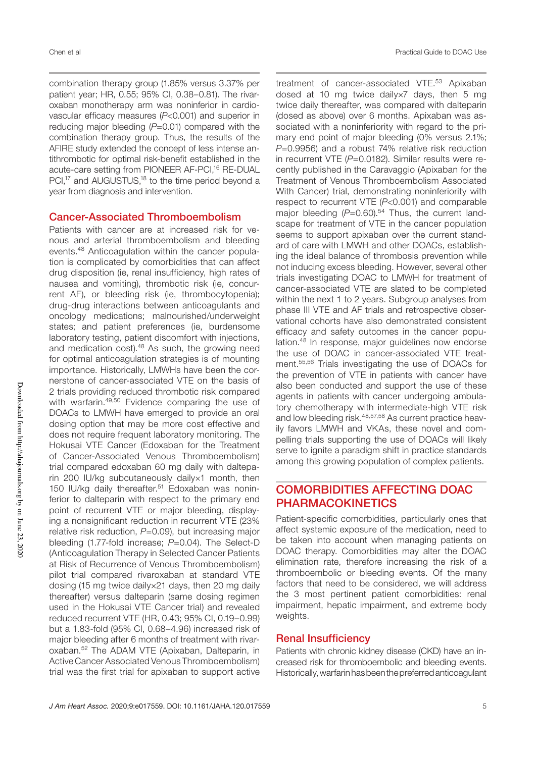combination therapy group (1.85% versus 3.37% per patient year; HR, 0.55; 95% CI, 0.38–0.81). The rivaroxaban monotherapy arm was noninferior in cardiovascular efficacy measures (*P*<0.001) and superior in reducing major bleeding (P=0.01) compared with the combination therapy group. Thus, the results of the AFIRE study extended the concept of less intense antithrombotic for optimal risk-benefit established in the acute-care setting from PIONEER AF-PCI,<sup>16</sup> RE-DUAL PCI,<sup>17</sup> and AUGUSTUS,<sup>18</sup> to the time period beyond a year from diagnosis and intervention.

#### Cancer-Associated Thromboembolism

Patients with cancer are at increased risk for venous and arterial thromboembolism and bleeding events.48 Anticoagulation within the cancer population is complicated by comorbidities that can affect drug disposition (ie, renal insufficiency, high rates of nausea and vomiting), thrombotic risk (ie, concurrent AF), or bleeding risk (ie, thrombocytopenia); drug-drug interactions between anticoagulants and oncology medications; malnourished/underweight states; and patient preferences (ie, burdensome laboratory testing, patient discomfort with injections, and medication cost).48 As such, the growing need for optimal anticoagulation strategies is of mounting importance. Historically, LMWHs have been the cornerstone of cancer-associated VTE on the basis of 2 trials providing reduced thrombotic risk compared with warfarin.<sup>49,50</sup> Evidence comparing the use of DOACs to LMWH have emerged to provide an oral dosing option that may be more cost effective and does not require frequent laboratory monitoring. The Hokusai VTE Cancer (Edoxaban for the Treatment of Cancer-Associated Venous Thromboembolism) trial compared edoxaban 60 mg daily with dalteparin 200 IU/kg subcutaneously daily×1 month, then 150 IU/kg daily thereafter.<sup>51</sup> Edoxaban was noninferior to dalteparin with respect to the primary end point of recurrent VTE or major bleeding, displaying a nonsignificant reduction in recurrent VTE (23% relative risk reduction, *P*=0.09), but increasing major bleeding (1.77-fold increase; *P*=0.04). The Select-D (Anticoagulation Therapy in Selected Cancer Patients at Risk of Recurrence of Venous Thromboembolism) pilot trial compared rivaroxaban at standard VTE dosing (15 mg twice daily×21 days, then 20 mg daily thereafter) versus dalteparin (same dosing regimen used in the Hokusai VTE Cancer trial) and revealed reduced recurrent VTE (HR, 0.43; 95% CI, 0.19–0.99) but a 1.83-fold (95% CI, 0.68–4.96) increased risk of major bleeding after 6 months of treatment with rivaroxaban.52 The ADAM VTE (Apixaban, Dalteparin, in Active Cancer Associated Venous Thromboembolism) trial was the first trial for apixaban to support active

treatment of cancer-associated VTE.<sup>53</sup> Apixaban dosed at 10 mg twice daily×7 days, then 5 mg twice daily thereafter, was compared with dalteparin (dosed as above) over 6 months. Apixaban was associated with a noninferiority with regard to the primary end point of major bleeding (0% versus 2.1%; *P*=0.9956) and a robust 74% relative risk reduction in recurrent VTE (*P*=0.0182). Similar results were recently published in the Caravaggio (Apixaban for the Treatment of Venous Thromboembolism Associated With Cancer) trial, demonstrating noninferiority with respect to recurrent VTE (*P*<0.001) and comparable major bleeding  $(P=0.60)$ .<sup>54</sup> Thus, the current landscape for treatment of VTE in the cancer population seems to support apixaban over the current standard of care with LMWH and other DOACs, establishing the ideal balance of thrombosis prevention while not inducing excess bleeding. However, several other trials investigating DOAC to LMWH for treatment of cancer-associated VTE are slated to be completed within the next 1 to 2 years. Subgroup analyses from phase III VTE and AF trials and retrospective observational cohorts have also demonstrated consistent efficacy and safety outcomes in the cancer population.<sup>48</sup> In response, major guidelines now endorse the use of DOAC in cancer-associated VTE treatment.55,56 Trials investigating the use of DOACs for the prevention of VTE in patients with cancer have also been conducted and support the use of these agents in patients with cancer undergoing ambulatory chemotherapy with intermediate-high VTE risk and low bleeding risk.<sup>48,57,58</sup> As current practice heavily favors LMWH and VKAs, these novel and compelling trials supporting the use of DOACs will likely serve to ignite a paradigm shift in practice standards among this growing population of complex patients.

## COMORBIDITIES AFFECTING DOAC PHARMACOKINETICS

Patient-specific comorbidities, particularly ones that affect systemic exposure of the medication, need to be taken into account when managing patients on DOAC therapy. Comorbidities may alter the DOAC elimination rate, therefore increasing the risk of a thromboembolic or bleeding events. Of the many factors that need to be considered, we will address the 3 most pertinent patient comorbidities: renal impairment, hepatic impairment, and extreme body weights.

#### Renal Insufficiency

Patients with chronic kidney disease (CKD) have an increased risk for thromboembolic and bleeding events. Historically, warfarin has been the preferred anticoagulant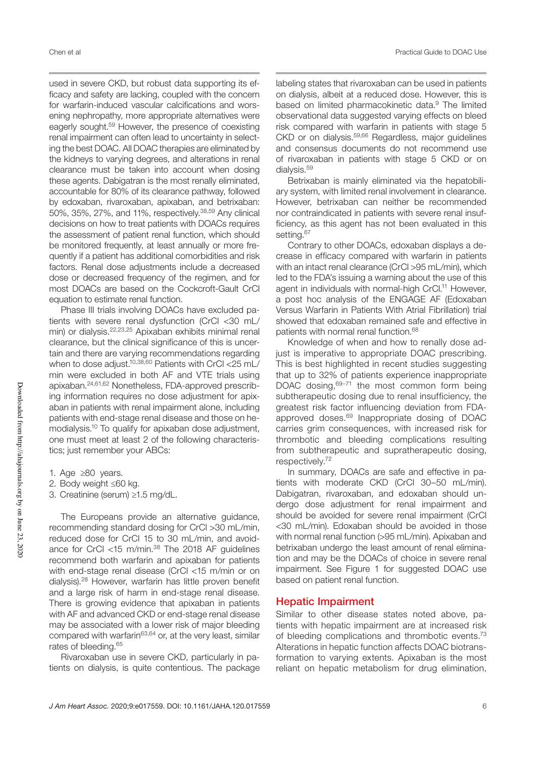used in severe CKD, but robust data supporting its efficacy and safety are lacking, coupled with the concern for warfarin-induced vascular calcifications and worsening nephropathy, more appropriate alternatives were eagerly sought.59 However, the presence of coexisting renal impairment can often lead to uncertainty in selecting the best DOAC. All DOAC therapies are eliminated by the kidneys to varying degrees, and alterations in renal clearance must be taken into account when dosing these agents. Dabigatran is the most renally eliminated, accountable for 80% of its clearance pathway, followed by edoxaban, rivaroxaban, apixaban, and betrixaban: 50%, 35%, 27%, and 11%, respectively.38,59 Any clinical decisions on how to treat patients with DOACs requires the assessment of patient renal function, which should be monitored frequently, at least annually or more frequently if a patient has additional comorbidities and risk factors. Renal dose adjustments include a decreased dose or decreased frequency of the regimen, and for most DOACs are based on the Cockcroft-Gault CrCl equation to estimate renal function.

Phase III trials involving DOACs have excluded patients with severe renal dysfunction (CrCl <30 mL/ min) or dialysis.22,23,25 Apixaban exhibits minimal renal clearance, but the clinical significance of this is uncertain and there are varying recommendations regarding when to dose adjust.<sup>10,38,60</sup> Patients with CrCl <25 mL/ min were excluded in both AF and VTE trials using apixaban.24,61,62 Nonetheless, FDA-approved prescribing information requires no dose adjustment for apixaban in patients with renal impairment alone, including patients with end-stage renal disease and those on hemodialysis.10 To qualify for apixaban dose adjustment, one must meet at least 2 of the following characteristics; just remember your ABCs:

- 1. Age ≥80 years.
- 2. Body weight ≤60 kg.

3. Creatinine (serum) ≥1.5 mg/dL.

The Europeans provide an alternative guidance, recommending standard dosing for CrCl >30 mL/min, reduced dose for CrCl 15 to 30 mL/min, and avoidance for CrCl <15 m/min.<sup>38</sup> The 2018 AF guidelines recommend both warfarin and apixaban for patients with end-stage renal disease (CrCl <15 m/min or on dialysis).28 However, warfarin has little proven benefit and a large risk of harm in end-stage renal disease. There is growing evidence that apixaban in patients with AF and advanced CKD or end-stage renal disease may be associated with a lower risk of major bleeding compared with warfarin<sup>63,64</sup> or, at the very least, similar rates of bleeding.65

Rivaroxaban use in severe CKD, particularly in patients on dialysis, is quite contentious. The package

labeling states that rivaroxaban can be used in patients on dialysis, albeit at a reduced dose. However, this is based on limited pharmacokinetic data.<sup>9</sup> The limited observational data suggested varying effects on bleed risk compared with warfarin in patients with stage 5 CKD or on dialysis.59,66 Regardless, major guidelines and consensus documents do not recommend use of rivaroxaban in patients with stage 5 CKD or on dialysis.<sup>59</sup>

Betrixaban is mainly eliminated via the hepatobiliary system, with limited renal involvement in clearance. However, betrixaban can neither be recommended nor contraindicated in patients with severe renal insufficiency, as this agent has not been evaluated in this setting.<sup>67</sup>

Contrary to other DOACs, edoxaban displays a decrease in efficacy compared with warfarin in patients with an intact renal clearance (CrCl >95 mL/min), which led to the FDA's issuing a warning about the use of this agent in individuals with normal-high CrCl.<sup>11</sup> However, a post hoc analysis of the ENGAGE AF (Edoxaban Versus Warfarin in Patients With Atrial Fibrillation) trial showed that edoxaban remained safe and effective in patients with normal renal function.<sup>68</sup>

Knowledge of when and how to renally dose adjust is imperative to appropriate DOAC prescribing. This is best highlighted in recent studies suggesting that up to 32% of patients experience inappropriate DOAC dosing, $69-71$  the most common form being subtherapeutic dosing due to renal insufficiency, the greatest risk factor influencing deviation from FDAapproved doses.<sup>69</sup> Inappropriate dosing of DOAC carries grim consequences, with increased risk for thrombotic and bleeding complications resulting from subtherapeutic and supratherapeutic dosing, respectively.72

In summary, DOACs are safe and effective in patients with moderate CKD (CrCl 30–50 mL/min). Dabigatran, rivaroxaban, and edoxaban should undergo dose adjustment for renal impairment and should be avoided for severe renal impairment (CrCl <30 mL/min). Edoxaban should be avoided in those with normal renal function (>95 mL/min). Apixaban and betrixaban undergo the least amount of renal elimination and may be the DOACs of choice in severe renal impairment. See Figure 1 for suggested DOAC use based on patient renal function.

#### Hepatic Impairment

Similar to other disease states noted above, patients with hepatic impairment are at increased risk of bleeding complications and thrombotic events.73 Alterations in hepatic function affects DOAC biotransformation to varying extents. Apixaban is the most reliant on hepatic metabolism for drug elimination,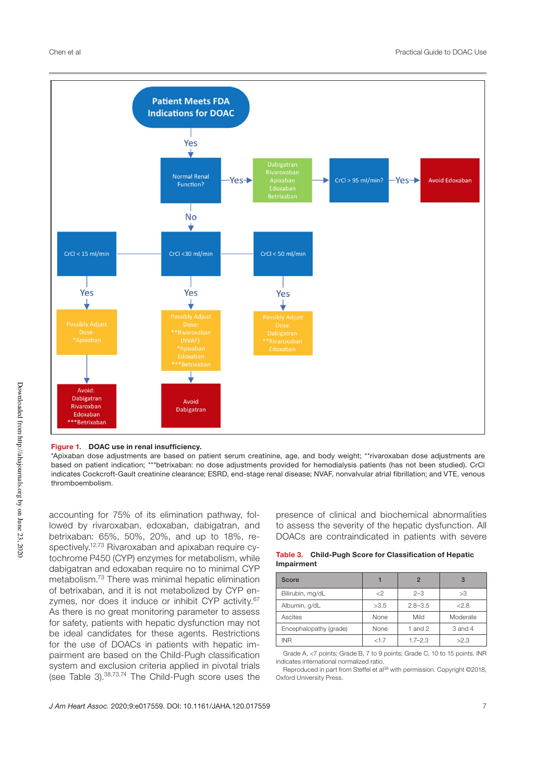

#### Figure 1. DOAC use in renal insufficiency.

\*Apixaban dose adjustments are based on patient serum creatinine, age, and body weight; \*\*rivaroxaban dose adjustments are based on patient indication; \*\*\*betrixaban: no dose adjustments provided for hemodialysis patients (has not been studied). CrCl indicates Cockcroft-Gault creatinine clearance; ESRD, end-stage renal disease; NVAF, nonvalvular atrial fibrillation; and VTE, venous thromboembolism.

accounting for 75% of its elimination pathway, followed by rivaroxaban, edoxaban, dabigatran, and betrixaban: 65%, 50%, 20%, and up to 18%, respectively.<sup>12,73</sup> Rivaroxaban and apixaban require cytochrome P450 (CYP) enzymes for metabolism, while dabigatran and edoxaban require no to minimal CYP metabolism.73 There was minimal hepatic elimination of betrixaban, and it is not metabolized by CYP enzymes, nor does it induce or inhibit CYP activity.<sup>67</sup> As there is no great monitoring parameter to assess for safety, patients with hepatic dysfunction may not be ideal candidates for these agents. Restrictions for the use of DOACs in patients with hepatic impairment are based on the Child-Pugh classification system and exclusion criteria applied in pivotal trials (see Table 3).38,73,74 The Child-Pugh score uses the presence of clinical and biochemical abnormalities to assess the severity of the hepatic dysfunction. All DOACs are contraindicated in patients with severe

|            | Table 3. Child-Pugh Score for Classification of Hepatic |
|------------|---------------------------------------------------------|
| Impairment |                                                         |

| Score                  |      | $\mathfrak{p}$ | 3        |
|------------------------|------|----------------|----------|
| Bilirubin, mg/dL       | <    | $2 - 3$        | >3       |
| Albumin, g/dL          | >3.5 | $2.8 - 3.5$    | 2.8      |
| Ascites                | None | Mild           | Moderate |
| Encephalopathy (grade) | None | 1 and 2        | 3 and 4  |
| <b>INR</b>             | <1.7 | $1.7 - 2.3$    | >2.3     |

Grade A, <7 points; Grade B, 7 to 9 points; Grade C, 10 to 15 points. INR indicates international normalized ratio.

Reproduced in part from Steffel et al<sup>38</sup> with permission. Copyright ©2018, Oxford University Press.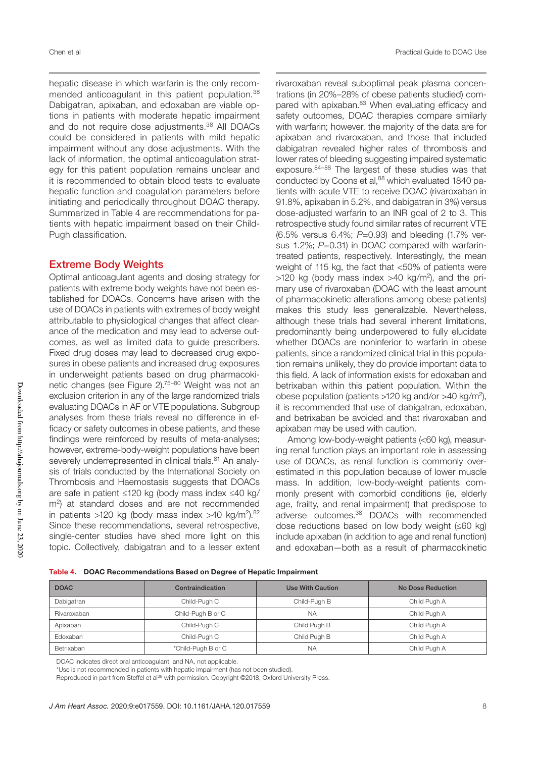hepatic disease in which warfarin is the only recommended anticoagulant in this patient population.<sup>38</sup> Dabigatran, apixaban, and edoxaban are viable options in patients with moderate hepatic impairment and do not require dose adjustments.<sup>38</sup> All DOACs could be considered in patients with mild hepatic impairment without any dose adjustments. With the lack of information, the optimal anticoagulation strategy for this patient population remains unclear and it is recommended to obtain blood tests to evaluate hepatic function and coagulation parameters before initiating and periodically throughout DOAC therapy. Summarized in Table 4 are recommendations for patients with hepatic impairment based on their Child-Pugh classification.

#### Extreme Body Weights

Optimal anticoagulant agents and dosing strategy for patients with extreme body weights have not been established for DOACs. Concerns have arisen with the use of DOACs in patients with extremes of body weight attributable to physiological changes that affect clearance of the medication and may lead to adverse outcomes, as well as limited data to guide prescribers. Fixed drug doses may lead to decreased drug exposures in obese patients and increased drug exposures in underweight patients based on drug pharmacokinetic changes (see Figure 2).75–80 Weight was not an exclusion criterion in any of the large randomized trials evaluating DOACs in AF or VTE populations. Subgroup analyses from these trials reveal no difference in efficacy or safety outcomes in obese patients, and these findings were reinforced by results of meta-analyses; however, extreme-body-weight populations have been severely underrepresented in clinical trials.<sup>81</sup> An analysis of trials conducted by the International Society on Thrombosis and Haemostasis suggests that DOACs are safe in patient ≤120 kg (body mass index ≤40 kg/ m<sup>2</sup>) at standard doses and are not recommended in patients  $>120$  kg (body mass index  $>40$  kg/m<sup>2</sup>).<sup>82</sup> Since these recommendations, several retrospective, single-center studies have shed more light on this topic. Collectively, dabigatran and to a lesser extent

rivaroxaban reveal suboptimal peak plasma concentrations (in 20%–28% of obese patients studied) compared with apixaban.<sup>83</sup> When evaluating efficacy and safety outcomes, DOAC therapies compare similarly with warfarin; however, the majority of the data are for apixaban and rivaroxaban, and those that included dabigatran revealed higher rates of thrombosis and lower rates of bleeding suggesting impaired systematic exposure.84–88 The largest of these studies was that conducted by Coons et al,<sup>88</sup> which evaluated 1840 patients with acute VTE to receive DOAC (rivaroxaban in 91.8%, apixaban in 5.2%, and dabigatran in 3%) versus dose-adjusted warfarin to an INR goal of 2 to 3. This retrospective study found similar rates of recurrent VTE (6.5% versus 6.4%; *P*=0.93) and bleeding (1.7% versus 1.2%; *P*=0.31) in DOAC compared with warfarintreated patients, respectively. Interestingly, the mean weight of 115 kg, the fact that <50% of patients were  $>120$  kg (body mass index  $>40$  kg/m<sup>2</sup>), and the primary use of rivaroxaban (DOAC with the least amount of pharmacokinetic alterations among obese patients) makes this study less generalizable. Nevertheless, although these trials had several inherent limitations, predominantly being underpowered to fully elucidate whether DOACs are noninferior to warfarin in obese patients, since a randomized clinical trial in this population remains unlikely, they do provide important data to this field. A lack of information exists for edoxaban and betrixaban within this patient population. Within the obese population (patients  $>120$  kg and/or  $>40$  kg/m<sup>2</sup>), it is recommended that use of dabigatran, edoxaban, and betrixaban be avoided and that rivaroxaban and apixaban may be used with caution.

Among low-body-weight patients (<60 kg), measuring renal function plays an important role in assessing use of DOACs, as renal function is commonly overestimated in this population because of lower muscle mass. In addition, low-body-weight patients commonly present with comorbid conditions (ie, elderly age, frailty, and renal impairment) that predispose to adverse outcomes.38 DOACs with recommended dose reductions based on low body weight (≤60 kg) include apixaban (in addition to age and renal function) and edoxaban—both as a result of pharmacokinetic

|  |  |  | Table 4. DOAC Recommendations Based on Degree of Hepatic Impairment |
|--|--|--|---------------------------------------------------------------------|
|--|--|--|---------------------------------------------------------------------|

| <b>DOAC</b> | Contraindication   | Use With Caution | No Dose Reduction |
|-------------|--------------------|------------------|-------------------|
| Dabigatran  | Child-Pugh C       | Child-Pugh B     | Child Pugh A      |
| Rivaroxaban | Child-Pugh B or C  | <b>NA</b>        | Child Pugh A      |
| Apixaban    | Child-Pugh C       | Child Pugh B     | Child Pugh A      |
| Edoxaban    | Child-Pugh C       | Child Pugh B     | Child Pugh A      |
| Betrixaban  | *Child-Pugh B or C | <b>NA</b>        | Child Pugh A      |

DOAC indicates direct oral anticoagulant; and NA, not applicable.

\*Use is not recommended in patients with hepatic impairment (has not been studied).

Reproduced in part from Steffel et al<sup>38</sup> with permission. Copyright ©2018, Oxford University Press.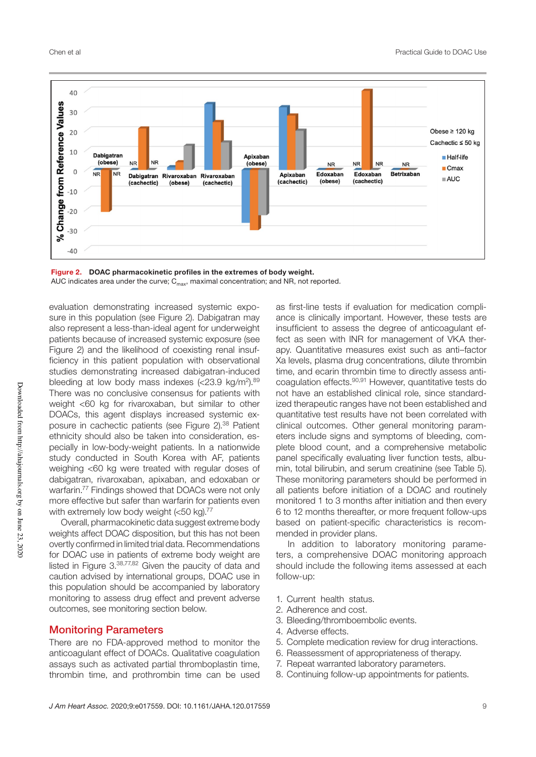

Figure 2. DOAC pharmacokinetic profiles in the extremes of body weight. AUC indicates area under the curve;  $C_{\text{max}}$ , maximal concentration; and NR, not reported.

evaluation demonstrating increased systemic exposure in this population (see Figure 2). Dabigatran may also represent a less-than-ideal agent for underweight patients because of increased systemic exposure (see Figure 2) and the likelihood of coexisting renal insufficiency in this patient population with observational studies demonstrating increased dabigatran-induced bleeding at low body mass indexes  $\langle$  <23.9 kg/m<sup>2</sup>).<sup>89</sup> There was no conclusive consensus for patients with weight <60 kg for rivaroxaban, but similar to other DOACs, this agent displays increased systemic exposure in cachectic patients (see Figure 2).<sup>38</sup> Patient ethnicity should also be taken into consideration, especially in low-body-weight patients. In a nationwide study conducted in South Korea with AF, patients weighing <60 kg were treated with regular doses of dabigatran, rivaroxaban, apixaban, and edoxaban or warfarin.77 Findings showed that DOACs were not only more effective but safer than warfarin for patients even with extremely low body weight  $(<50$  kg).<sup>77</sup>

Overall, pharmacokinetic data suggest extreme body weights affect DOAC disposition, but this has not been overtly confirmed in limited trial data. Recommendations for DOAC use in patients of extreme body weight are listed in Figure 3.<sup>38,77,82</sup> Given the paucity of data and caution advised by international groups, DOAC use in this population should be accompanied by laboratory monitoring to assess drug effect and prevent adverse outcomes, see monitoring section below.

#### Monitoring Parameters

There are no FDA-approved method to monitor the anticoagulant effect of DOACs. Qualitative coagulation assays such as activated partial thromboplastin time, thrombin time, and prothrombin time can be used

as first-line tests if evaluation for medication compliance is clinically important. However, these tests are insufficient to assess the degree of anticoagulant effect as seen with INR for management of VKA therapy. Quantitative measures exist such as anti–factor Xa levels, plasma drug concentrations, dilute thrombin time, and ecarin thrombin time to directly assess anticoagulation effects.90,91 However, quantitative tests do not have an established clinical role, since standardized therapeutic ranges have not been established and quantitative test results have not been correlated with clinical outcomes. Other general monitoring parameters include signs and symptoms of bleeding, complete blood count, and a comprehensive metabolic panel specifically evaluating liver function tests, albumin, total bilirubin, and serum creatinine (see Table 5). These monitoring parameters should be performed in all patients before initiation of a DOAC and routinely monitored 1 to 3 months after initiation and then every 6 to 12 months thereafter, or more frequent follow-ups based on patient-specific characteristics is recommended in provider plans.

In addition to laboratory monitoring parameters, a comprehensive DOAC monitoring approach should include the following items assessed at each follow-up:

- 1. Current health status.
- 2. Adherence and cost.
- 3. Bleeding/thromboembolic events.
- 4. Adverse effects.
- 5. Complete medication review for drug interactions.
- 6. Reassessment of appropriateness of therapy.
- 7. Repeat warranted laboratory parameters.
- 8. Continuing follow-up appointments for patients.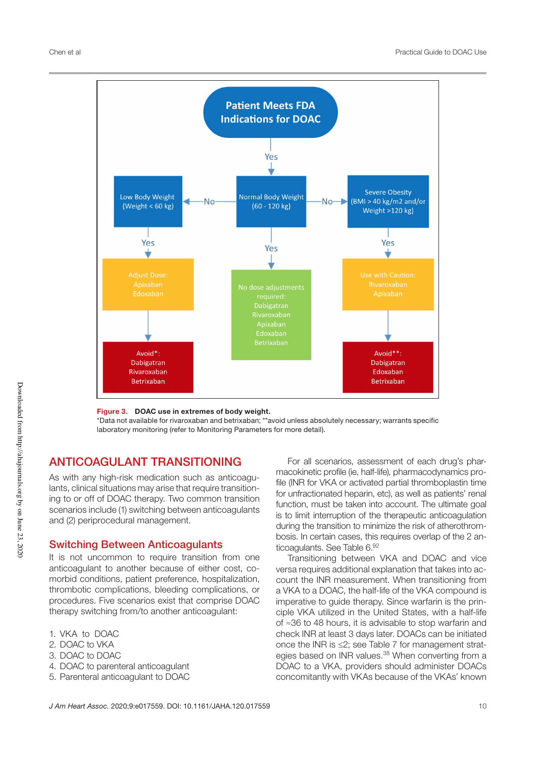

#### Figure 3. DOAC use in extremes of body weight.

\*Data not available for rivaroxaban and betrixaban; \*\*avoid unless absolutely necessary; warrants specific laboratory monitoring (refer to Monitoring Parameters for more detail).

## ANTICOAGULANT TRANSITIONING

As with any high-risk medication such as anticoagulants, clinical situations may arise that require transitioning to or off of DOAC therapy. Two common transition scenarios include (1) switching between anticoagulants and (2) periprocedural management.

### Switching Between Anticoagulants

It is not uncommon to require transition from one anticoagulant to another because of either cost, comorbid conditions, patient preference, hospitalization, thrombotic complications, bleeding complications, or procedures. Five scenarios exist that comprise DOAC therapy switching from/to another anticoagulant:

- 1. VKA to DOAC
- 2. DOAC to VKA
- 3. DOAC to DOAC
- 4. DOAC to parenteral anticoagulant
- 5. Parenteral anticoagulant to DOAC

For all scenarios, assessment of each drug's pharmacokinetic profile (ie, half-life), pharmacodynamics profile (INR for VKA or activated partial thromboplastin time for unfractionated heparin, etc), as well as patients' renal function, must be taken into account. The ultimate goal is to limit interruption of the therapeutic anticoagulation during the transition to minimize the risk of atherothrombosis. In certain cases, this requires overlap of the 2 anticoagulants. See Table 6.92

Transitioning between VKA and DOAC and vice versa requires additional explanation that takes into account the INR measurement. When transitioning from a VKA to a DOAC, the half-life of the VKA compound is imperative to guide therapy. Since warfarin is the principle VKA utilized in the United States, with a half-life of ≈36 to 48 hours, it is advisable to stop warfarin and check INR at least 3 days later. DOACs can be initiated once the INR is ≤2; see Table 7 for management strategies based on INR values.<sup>38</sup> When converting from a DOAC to a VKA, providers should administer DOACs concomitantly with VKAs because of the VKAs' known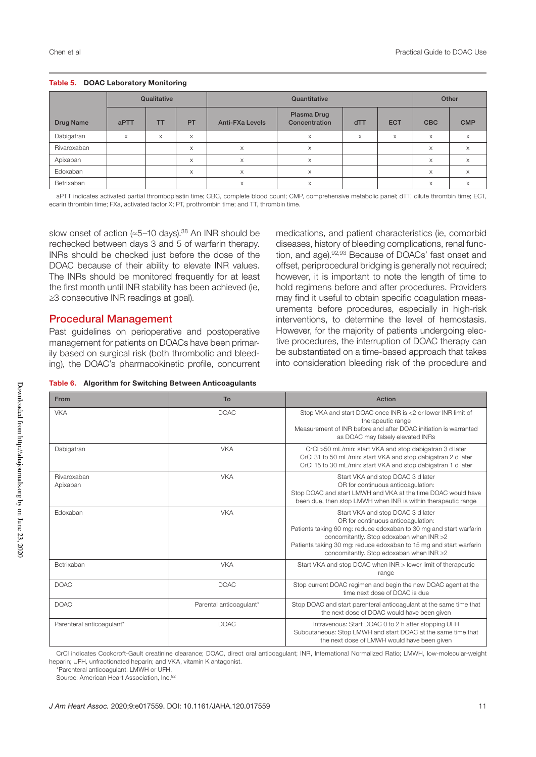|             |      | Qualitative |    | Quantitative           |                              |     | Other      |            |            |
|-------------|------|-------------|----|------------------------|------------------------------|-----|------------|------------|------------|
| Drug Name   | aPTT | <b>TT</b>   | PT | <b>Anti-FXa Levels</b> | Plasma Drug<br>Concentration | dTT | <b>ECT</b> | <b>CBC</b> | <b>CMP</b> |
| Dabigatran  | X    | X           | X  |                        | $\times$                     | X   | X          | X          | X          |
| Rivaroxaban |      |             | X  | X                      | $\times$                     |     |            | X          | X          |
| Apixaban    |      |             | X  | X                      | X                            |     |            | $\times$   | X          |
| Edoxaban    |      |             | X  | X                      | X                            |     |            | X          | X          |
| Betrixaban  |      |             |    | X                      | X                            |     |            | X          | X          |

#### Table 5. DOAC Laboratory Monitoring

aPTT indicates activated partial thromboplastin time; CBC, complete blood count; CMP, comprehensive metabolic panel; dTT, dilute thrombin time; ECT, ecarin thrombin time; FXa, activated factor X; PT, prothrombin time; and TT, thrombin time.

slow onset of action ( $\approx$ 5–10 days).<sup>38</sup> An INR should be rechecked between days 3 and 5 of warfarin therapy. INRs should be checked just before the dose of the DOAC because of their ability to elevate INR values. The INRs should be monitored frequently for at least the first month until INR stability has been achieved (ie, ≥3 consecutive INR readings at goal).

## Procedural Management

Past guidelines on perioperative and postoperative management for patients on DOACs have been primarily based on surgical risk (both thrombotic and bleeding), the DOAC's pharmacokinetic profile, concurrent

medications, and patient characteristics (ie, comorbid diseases, history of bleeding complications, renal function, and age).<sup>92,93</sup> Because of DOACs' fast onset and offset, periprocedural bridging is generally not required; however, it is important to note the length of time to hold regimens before and after procedures. Providers may find it useful to obtain specific coagulation measurements before procedures, especially in high-risk interventions, to determine the level of hemostasis. However, for the majority of patients undergoing elective procedures, the interruption of DOAC therapy can be substantiated on a time-based approach that takes into consideration bleeding risk of the procedure and

|  |  |  |  | Table 6. Algorithm for Switching Between Anticoagulants |
|--|--|--|--|---------------------------------------------------------|
|--|--|--|--|---------------------------------------------------------|

| From                      | To                      | Action                                                                                                                                                                                                                                                                                                      |
|---------------------------|-------------------------|-------------------------------------------------------------------------------------------------------------------------------------------------------------------------------------------------------------------------------------------------------------------------------------------------------------|
| <b>VKA</b>                | <b>DOAC</b>             | Stop VKA and start DOAC once INR is <2 or lower INR limit of<br>therapeutic range<br>Measurement of INR before and after DOAC initiation is warranted<br>as DOAC may falsely elevated INRs                                                                                                                  |
| Dabigatran                | <b>VKA</b>              | CrCl >50 mL/min: start VKA and stop dabigatran 3 d later<br>CrCl 31 to 50 mL/min: start VKA and stop dabigatran 2 d later<br>CrCl 15 to 30 mL/min: start VKA and stop dabigatran 1 d later                                                                                                                  |
| Rivaroxaban<br>Apixaban   | <b>VKA</b>              | Start VKA and stop DOAC 3 d later<br>OR for continuous anticoaqulation:<br>Stop DOAC and start LMWH and VKA at the time DOAC would have<br>been due, then stop LMWH when INR is within therapeutic range                                                                                                    |
| Edoxaban                  | <b>VKA</b>              | Start VKA and stop DOAC 3 d later<br>OR for continuous anticoaqulation:<br>Patients taking 60 mg: reduce edoxaban to 30 mg and start warfarin<br>concomitantly. Stop edoxaban when INR >2<br>Patients taking 30 mg: reduce edoxaban to 15 mg and start warfarin<br>concomitantly. Stop edoxaban when INR ≥2 |
| Betrixaban                | <b>VKA</b>              | Start VKA and stop DOAC when INR > lower limit of therapeutic<br>range                                                                                                                                                                                                                                      |
| <b>DOAC</b>               | <b>DOAC</b>             | Stop current DOAC regimen and begin the new DOAC agent at the<br>time next dose of DOAC is due                                                                                                                                                                                                              |
| <b>DOAC</b>               | Parental anticoagulant* | Stop DOAC and start parenteral anticoagulant at the same time that<br>the next dose of DOAC would have been given                                                                                                                                                                                           |
| Parenteral anticoaqulant* | <b>DOAC</b>             | Intravenous: Start DOAC 0 to 2 h after stopping UFH<br>Subcutaneous: Stop LMWH and start DOAC at the same time that<br>the next dose of LMWH would have been given                                                                                                                                          |

CrCl indicates Cockcroft-Gault creatinine clearance; DOAC, direct oral anticoagulant; INR, International Normalized Ratio; LMWH, low-molecular-weight heparin; UFH, unfractionated heparin; and VKA, vitamin K antagonist.

\*Parenteral anticoagulant: LMWH or UFH.

Source: American Heart Association, Inc.<sup>92</sup>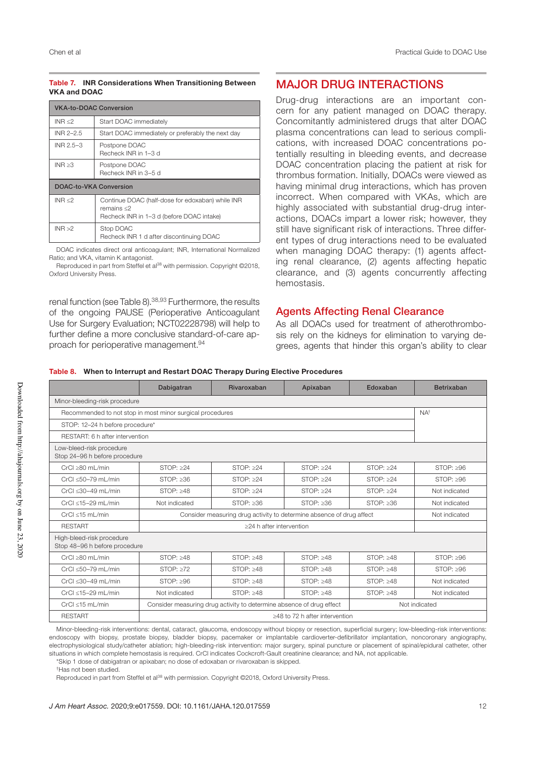#### Table 7. INR Considerations When Transitioning Between VKA and DOAC

| <b>VKA-to-DOAC Conversion</b> |                                                                                                              |
|-------------------------------|--------------------------------------------------------------------------------------------------------------|
| INR < 2                       | Start DOAC immediately                                                                                       |
| INR 2-2.5                     | Start DOAC immediately or preferably the next day                                                            |
| INR 2.5-3                     | Postpone DOAC<br>Recheck INR in 1-3 d                                                                        |
| INR > 3                       | Postpone DOAC<br>Recheck INR in 3-5 d                                                                        |
| DOAC-to-VKA Conversion        |                                                                                                              |
| INR < 2                       | Continue DOAC (half-dose for edoxaban) while INR<br>remains < 2<br>Recheck INR in 1-3 d (before DOAC intake) |
| INR > 2                       | Stop DOAC<br>Recheck INR 1 d after discontinuing DOAC                                                        |

DOAC indicates direct oral anticoagulant; INR, International Normalized Ratio; and VKA, vitamin K antagonist.

Reproduced in part from Steffel et al<sup>38</sup> with permission. Copyright ©2018, Oxford University Press.

renal function (see Table 8).<sup>38,93</sup> Furthermore, the results of the ongoing PAUSE (Perioperative Anticoagulant Use for Surgery Evaluation; NCT02228798) will help to further define a more conclusive standard-of-care approach for perioperative management.94

## MAJOR DRUG INTERACTIONS

Drug-drug interactions are an important concern for any patient managed on DOAC therapy. Concomitantly administered drugs that alter DOAC plasma concentrations can lead to serious complications, with increased DOAC concentrations potentially resulting in bleeding events, and decrease DOAC concentration placing the patient at risk for thrombus formation. Initially, DOACs were viewed as having minimal drug interactions, which has proven incorrect. When compared with VKAs, which are highly associated with substantial drug-drug interactions, DOACs impart a lower risk; however, they still have significant risk of interactions. Three different types of drug interactions need to be evaluated when managing DOAC therapy: (1) agents affecting renal clearance, (2) agents affecting hepatic clearance, and (3) agents concurrently affecting hemostasis.

## Agents Affecting Renal Clearance

As all DOACs used for treatment of atherothrombosis rely on the kidneys for elimination to varying degrees, agents that hinder this organ's ability to clear

#### Table 8. When to Interrupt and Restart DOAC Therapy During Elective Procedures

|                                                            | Dabigatran      | Rivaroxaban                                                          | Apixaban                       | Edoxaban        | <b>Betrixaban</b> |
|------------------------------------------------------------|-----------------|----------------------------------------------------------------------|--------------------------------|-----------------|-------------------|
| Minor-bleeding-risk procedure                              |                 |                                                                      |                                |                 |                   |
| Recommended to not stop in most minor surgical procedures  |                 |                                                                      |                                |                 | NA <sup>†</sup>   |
| STOP: 12-24 h before procedure*                            |                 |                                                                      |                                |                 |                   |
| RESTART: 6 h after intervention                            |                 |                                                                      |                                |                 |                   |
| Low-bleed-risk procedure<br>Stop 24-96 h before procedure  |                 |                                                                      |                                |                 |                   |
| CrCl >80 mL/min                                            | STOP: >24       | STOP: >24                                                            | STOP: >24                      | STOP: >24       | STOP: $\geq 96$   |
| CrCl <50-79 mL/min                                         | STOP: >36       | STOP: >24                                                            | STOP: >24                      | STOP: >24       | STOP: >96         |
| CrCl $\leq$ 30-49 mL/min                                   | STOP: $\geq 48$ | STOP: $\geq$ 24                                                      | STOP: $\geq$ 24                | STOP: $\geq$ 24 | Not indicated     |
| CrCl <15-29 mL/min                                         | Not indicated   | STOP: $\geq 36$                                                      | STOP: $\geq 36$                | STOP: >36       | Not indicated     |
| $CrCl < 15$ mL/min                                         |                 | Consider measuring drug activity to determine absence of drug affect |                                |                 | Not indicated     |
| <b>RESTART</b>                                             |                 | >24 h after intervention                                             |                                |                 |                   |
| High-bleed-risk procedure<br>Stop 48-96 h before procedure |                 |                                                                      |                                |                 |                   |
| $CrCl \geq 80$ mL/min                                      | STOP: >48       | STOP: >48                                                            | STOP: >48                      | STOP: >48       | STOP: $\geq 96$   |
| CrCl $\leq 50-79$ mL/min                                   | STOP: >72       | STOP: $\geq 48$                                                      | STOP: $\geq 48$                | STOP: >48       | STOP: $\geq 96$   |
| CrCl <30-49 mL/min                                         | STOP: >96       | STOP: >48                                                            | STOP: >48                      | STOP: >48       | Not indicated     |
| CrCl <15-29 mL/min                                         | Not indicated   | STOP: $\geq 48$                                                      | STOP: >48                      | STOP: $\geq 48$ | Not indicated     |
| $CrCl \leq 15 mL/min$                                      |                 | Consider measuring drug activity to determine absence of drug effect |                                |                 | Not indicated     |
| <b>RESTART</b>                                             |                 |                                                                      | >48 to 72 h after intervention |                 |                   |

Minor-bleeding-risk interventions: dental, cataract, glaucoma, endoscopy without biopsy or resection, superficial surgery; low-bleeding-risk interventions: endoscopy with biopsy, prostate biopsy, bladder biopsy, pacemaker or implantable cardioverter-defibrillator implantation, noncoronary angiography, electrophysiological study/catheter ablation; high-bleeding-risk intervention: major surgery, spinal puncture or placement of spinal/epidural catheter, other situations in which complete hemostasis is required. CrCl indicates Cockcroft-Gault creatinine clearance; and NA, not applicable.

\*Skip 1 dose of dabigatran or apixaban; no dose of edoxaban or rivaroxaban is skipped.

†Has not been studied.

Reproduced in part from Steffel et al<sup>38</sup> with permission. Copyright ©2018, Oxford University Press.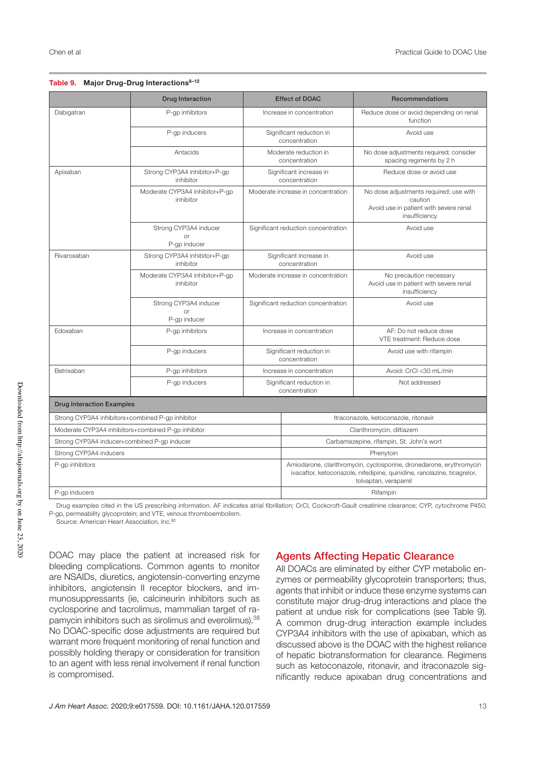#### Table 9. Major Drug-Drug Interactions<sup>8-12</sup>

|                                                                       | <b>Drug Interaction</b>                     |                                                                                                                                                                        | <b>Effect of DOAC</b>                     | Recommendations                                                                                              |  |
|-----------------------------------------------------------------------|---------------------------------------------|------------------------------------------------------------------------------------------------------------------------------------------------------------------------|-------------------------------------------|--------------------------------------------------------------------------------------------------------------|--|
| Dabigatran                                                            | P-qp inhibitors                             |                                                                                                                                                                        | Increase in concentration                 | Reduce dose or avoid depending on renal<br>function                                                          |  |
|                                                                       | P-gp inducers                               |                                                                                                                                                                        | Significant reduction in<br>concentration | Avoid use                                                                                                    |  |
|                                                                       | Antacids                                    |                                                                                                                                                                        | Moderate reduction in<br>concentration    | No dose adjustments required; consider<br>spacing regiments by 2 h                                           |  |
| Apixaban                                                              | Strong CYP3A4 inhibitor+P-gp<br>inhibitor   |                                                                                                                                                                        | Significant increase in<br>concentration  | Reduce dose or avoid use                                                                                     |  |
|                                                                       | Moderate CYP3A4 inhibitor+P-gp<br>inhibitor |                                                                                                                                                                        | Moderate increase in concentration        | No dose adjustments required; use with<br>caution<br>Avoid use in patient with severe renal<br>insufficiency |  |
|                                                                       | Strong CYP3A4 inducer<br>0r<br>P-gp inducer |                                                                                                                                                                        | Significant reduction concentration       | Avoid use                                                                                                    |  |
| Rivaroxaban                                                           | Strong CYP3A4 inhibitor+P-gp<br>inhibitor   |                                                                                                                                                                        | Significant increase in<br>concentration  | Avoid use                                                                                                    |  |
|                                                                       | Moderate CYP3A4 inhibitor+P-gp<br>inhibitor |                                                                                                                                                                        | Moderate increase in concentration        | No precaution necessary<br>Avoid use in patient with severe renal<br>insufficiency                           |  |
|                                                                       | Strong CYP3A4 inducer<br>or<br>P-gp inducer |                                                                                                                                                                        | Significant reduction concentration       | Avoid use                                                                                                    |  |
| Edoxaban                                                              | P-gp inhibitors                             |                                                                                                                                                                        | Increase in concentration                 | AF: Do not reduce dose<br>VTE treatment: Reduce dose                                                         |  |
|                                                                       | P-qp inducers                               |                                                                                                                                                                        | Significant reduction in<br>concentration | Avoid use with rifampin                                                                                      |  |
| Betrixaban                                                            | P-gp inhibitors                             |                                                                                                                                                                        | Increase in concentration                 | Avoid: CrCl <30 mL/min                                                                                       |  |
|                                                                       | P-gp inducers                               |                                                                                                                                                                        | Significant reduction in<br>concentration | Not addressed                                                                                                |  |
| <b>Drug Interaction Examples</b>                                      |                                             |                                                                                                                                                                        |                                           |                                                                                                              |  |
| Strong CYP3A4 inhibitors+combined P-gp inhibitor                      |                                             |                                                                                                                                                                        |                                           | Itraconazole, ketoconazole, ritonavir                                                                        |  |
| Moderate CYP3A4 inhibitors+combined P-gp inhibitor                    |                                             |                                                                                                                                                                        | Clarithromycin, diltiazem                 |                                                                                                              |  |
| Strong CYP3A4 inducer+combined P-gp inducer<br>Strong CYP3A4 inducers |                                             |                                                                                                                                                                        | Carbamazepine, rifampin, St. John's wort  |                                                                                                              |  |
|                                                                       |                                             |                                                                                                                                                                        | Phenytoin                                 |                                                                                                              |  |
| P-qp inhibitors                                                       |                                             | Amiodarone, clarithromycin, cyclosporine, dronedarone, erythromycin<br>ivacaftor, ketoconazole, nifedipine, quinidine, ranolazine, ticagrelor,<br>tolvaptan, verapamil |                                           |                                                                                                              |  |
| P-gp inducers                                                         |                                             |                                                                                                                                                                        |                                           | Rifampin                                                                                                     |  |

Drug examples cited in the US prescribing information. AF indicates atrial fibrillation; CrCl, Cockcroft-Gault creatinine clearance; CYP, cytochrome P450; P-gp, permeability glycoprotein; and VTE, venous thromboembolism.

Source: American Heart Association, Inc.<sup>92</sup>

DOAC may place the patient at increased risk for bleeding complications. Common agents to monitor are NSAIDs, diuretics, angiotensin-converting enzyme inhibitors, angiotensin II receptor blockers, and immunosuppressants (ie, calcineurin inhibitors such as cyclosporine and tacrolimus, mammalian target of rapamycin inhibitors such as sirolimus and everolimus).<sup>38</sup> No DOAC-specific dose adjustments are required but warrant more frequent monitoring of renal function and possibly holding therapy or consideration for transition to an agent with less renal involvement if renal function is compromised.

## Agents Affecting Hepatic Clearance

All DOACs are eliminated by either CYP metabolic enzymes or permeability glycoprotein transporters; thus, agents that inhibit or induce these enzyme systems can constitute major drug-drug interactions and place the patient at undue risk for complications (see Table 9). A common drug-drug interaction example includes CYP3A4 inhibitors with the use of apixaban, which as discussed above is the DOAC with the highest reliance of hepatic biotransformation for clearance. Regimens such as ketoconazole, ritonavir, and itraconazole significantly reduce apixaban drug concentrations and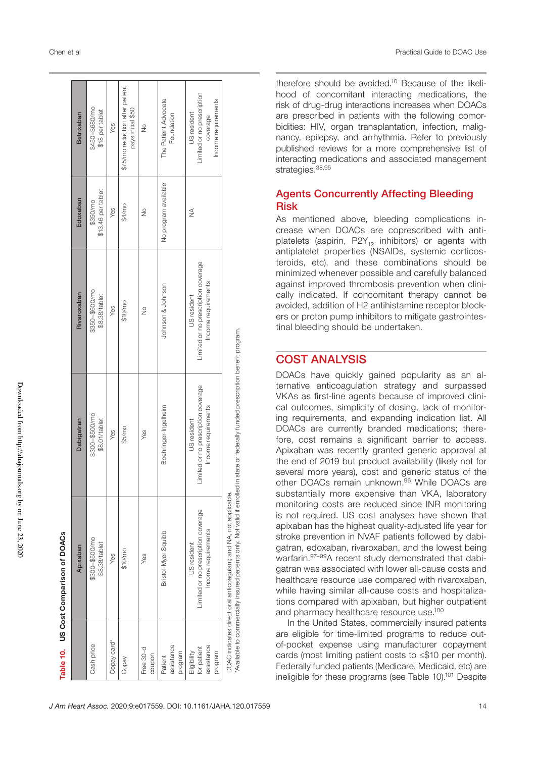|                                                     | Apixaban                                                                                                                                       | Dabigatran                                                                | Rivaroxaban                                                               | Edoxaban                       | Betrixaban                                                                  |  |
|-----------------------------------------------------|------------------------------------------------------------------------------------------------------------------------------------------------|---------------------------------------------------------------------------|---------------------------------------------------------------------------|--------------------------------|-----------------------------------------------------------------------------|--|
| Cash price                                          | \$300-\$500/mo<br>\$8.38/tablet                                                                                                                | $$300-$500/mo$<br>\$8.01/tablet                                           | $$350 - $600/m0$<br>\$8.38/tablet                                         | \$13.46 per tablet<br>\$350/mo | \$450-\$680/mo<br>\$18 per tablet                                           |  |
| Copay card*                                         | Yes                                                                                                                                            | Yes                                                                       | Yes                                                                       | Yes                            | Yes                                                                         |  |
| Copay                                               | \$10/mo                                                                                                                                        | \$5/mo                                                                    | \$10/mo                                                                   | \$4/mo                         | \$75/mo reduction after patient<br>pays initial \$50                        |  |
| Free 30-d<br>coupon                                 | Yes                                                                                                                                            | Yes                                                                       | $\frac{1}{2}$                                                             | $\frac{1}{2}$                  | $\frac{1}{2}$                                                               |  |
| assistance<br>program<br>Patient                    | Bristol-Myer Squibb                                                                                                                            | Boehringer-Ingelheim                                                      | Johnson & Johnson                                                         | No program available           | The Patient Advocate<br>Foundation                                          |  |
| assistance<br>for patient<br>Eligibility<br>program | Limited or no prescription coverage<br>Income requirements<br>US resident                                                                      | Limited or no prescription coverage<br>Income requirements<br>US resident | Limited or no prescription coverage<br>Income requirements<br>US resident | ≸                              | imited or no prescription<br>Income requirements<br>US resident<br>coverage |  |
|                                                     | Available to commercially insured patients only. Not valid if enrolled in<br>DOAC indicates direct oral anticoagulant; and NA, not applicable. | state or federally funded prescription benefit program.                   |                                                                           |                                |                                                                             |  |

therefore should be avoided.10 Because of the likelihood of concomitant interacting medications, the risk of drug-drug interactions increases when DOACs are prescribed in patients with the following comorbidities: HIV, organ transplantation, infection, malignancy, epilepsy, and arrhythmia. Refer to previously published reviews for a more comprehensive list of interacting medications and associated management strategies.<sup>38,95</sup>

## Agents Concurrently Affecting Bleeding Risk

As mentioned above, bleeding complications increase when DOACs are coprescribed with antiplatelets (aspirin,  $P2Y_{12}$  inhibitors) or agents with antiplatelet properties (NSAIDs, systemic corticosteroids, etc), and these combinations should be minimized whenever possible and carefully balanced against improved thrombosis prevention when clinically indicated. If concomitant therapy cannot be avoided, addition of H2 antihistamine receptor blockers or proton pump inhibitors to mitigate gastrointestinal bleeding should be undertaken.

## COST ANALYSIS

DOACs have quickly gained popularity as an alternative anticoagulation strategy and surpassed VKAs as first-line agents because of improved clinical outcomes, simplicity of dosing, lack of monitoring requirements, and expanding indication list. All DOACs are currently branded medications; therefore, cost remains a significant barrier to access. Apixaban was recently granted generic approval at the end of 2019 but product availability (likely not for several more years), cost and generic status of the other DOACs remain unknown.<sup>96</sup> While DOACs are substantially more expensive than VKA, laboratory monitoring costs are reduced since INR monitoring is not required. US cost analyses have shown that apixaban has the highest quality-adjusted life year for stroke prevention in NVAF patients followed by dabigatran, edoxaban, rivaroxaban, and the lowest being warfarin.97–99A recent study demonstrated that dabigatran was associated with lower all-cause costs and healthcare resource use compared with rivaroxaban, while having similar all-cause costs and hospitalizations compared with apixaban, but higher outpatient and pharmacy healthcare resource use.100

In the United States, commercially insured patients are eligible for time-limited programs to reduce outof-pocket expense using manufacturer copayment cards (most limiting patient costs to ≤\$10 per month). Federally funded patients (Medicare, Medicaid, etc) are ineligible for these programs (see Table 10).<sup>101</sup> Despite

Table 10. US Cost Comparison of DOACs 10. US Cost Comparison of DOACs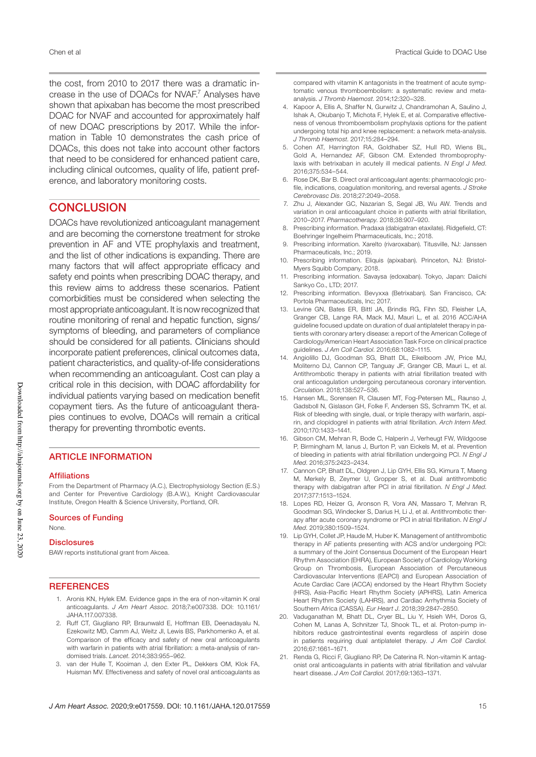the cost, from 2010 to 2017 there was a dramatic increase in the use of DOACs for NVAF.7 Analyses have shown that apixaban has become the most prescribed DOAC for NVAF and accounted for approximately half of new DOAC prescriptions by 2017. While the information in Table 10 demonstrates the cash price of DOACs, this does not take into account other factors that need to be considered for enhanced patient care, including clinical outcomes, quality of life, patient preference, and laboratory monitoring costs.

## **CONCLUSION**

DOACs have revolutionized anticoagulant management and are becoming the cornerstone treatment for stroke prevention in AF and VTE prophylaxis and treatment, and the list of other indications is expanding. There are many factors that will affect appropriate efficacy and safety end points when prescribing DOAC therapy, and this review aims to address these scenarios. Patient comorbidities must be considered when selecting the most appropriate anticoagulant. It is now recognized that routine monitoring of renal and hepatic function, signs/ symptoms of bleeding, and parameters of compliance should be considered for all patients. Clinicians should incorporate patient preferences, clinical outcomes data, patient characteristics, and quality-of-life considerations when recommending an anticoagulant. Cost can play a critical role in this decision, with DOAC affordability for individual patients varying based on medication benefit copayment tiers. As the future of anticoagulant therapies continues to evolve, DOACs will remain a critical therapy for preventing thrombotic events.

## ARTICLE INFORMATION

#### Affiliations

From the Department of Pharmacy (A.C.), Electrophysiology Section (E.S.) and Center for Preventive Cardiology (B.A.W.), Knight Cardiovascular Institute, Oregon Health & Science University, Portland, OR.

#### Sources of Funding

None.

#### **Disclosures**

BAW reports institutional grant from Akcea.

#### **REFERENCES**

- 1. Aronis KN, Hylek EM. Evidence gaps in the era of non-vitamin K oral anticoagulants. *J Am Heart Assoc*. 2018;7:e007338. DOI: 10.1161/ JAHA.117.007338.
- 2. Ruff CT, Giugliano RP, Braunwald E, Hoffman EB, Deenadayalu N, Ezekowitz MD, Camm AJ, Weitz JI, Lewis BS, Parkhomenko A, et al. Comparison of the efficacy and safety of new oral anticoagulants with warfarin in patients with atrial fibrillation: a meta-analysis of randomised trials. *Lancet*. 2014;383:955–962.
- 3. van der Hulle T, Kooiman J, den Exter PL, Dekkers OM, Klok FA, Huisman MV. Effectiveness and safety of novel oral anticoagulants as

compared with vitamin K antagonists in the treatment of acute symptomatic venous thromboembolism: a systematic review and metaanalysis. *J Thromb Haemost*. 2014;12:320–328.

- 4. Kapoor A, Ellis A, Shaffer N, Gurwitz J, Chandramohan A, Saulino J, Ishak A, Okubanjo T, Michota F, Hylek E, et al. Comparative effectiveness of venous thromboembolism prophylaxis options for the patient undergoing total hip and knee replacement: a network meta-analysis. *J Thromb Haemost*. 2017;15:284–294.
- 5. Cohen AT, Harrington RA, Goldhaber SZ, Hull RD, Wiens BL, Gold A, Hernandez AF, Gibson CM. Extended thromboprophylaxis with betrixaban in acutely ill medical patients. *N Engl J Med*. 2016;375:534–544.
- 6. Rose DK, Bar B. Direct oral anticoagulant agents: pharmacologic profile, indications, coagulation monitoring, and reversal agents. *J Stroke Cerebrovasc Dis*. 2018;27:2049–2058.
- 7. Zhu J, Alexander GC, Nazarian S, Segal JB, Wu AW. Trends and variation in oral anticoagulant choice in patients with atrial fibrillation, 2010–2017. *Pharmacotherapy*. 2018;38:907–920.
- 8. Prescribing information. Pradaxa (dabigatran etaxilate). Ridgefield, CT: Boehringer Ingelheim Pharmaceuticals, Inc.; 2018.
- 9. Prescribing information. Xarelto (rivaroxaban). Titusville, NJ: Janssen Pharmaceuticals, Inc.; 2019.
- 10. Prescribing information. Eliquis (apixaban). Princeton, NJ: Bristol-Myers Squibb Company; 2018.
- Prescribing information. Savaysa (edoxaban). Tokyo, Japan: Daiichi Sankyo Co., LTD; 2017.
- 12. Prescribing information. Bevyxxa (Betrixaban). San Francisco, CA: Portola Pharmaceuticals, Inc; 2017.
- 13. Levine GN, Bates ER, Bittl JA, Brindis RG, Fihn SD, Fleisher LA, Granger CB, Lange RA, Mack MJ, Mauri L, et al. 2016 ACC/AHA guideline focused update on duration of dual antiplatelet therapy in patients with coronary artery disease: a report of the American College of Cardiology/American Heart Association Task Force on clinical practice guidelines. *J Am Coll Cardiol*. 2016;68:1082–1115.
- 14. Angiolillo DJ, Goodman SG, Bhatt DL, Eikelboom JW, Price MJ, Moliterno DJ, Cannon CP, Tanguay JF, Granger CB, Mauri L, et al. Antithrombotic therapy in patients with atrial fibrillation treated with oral anticoagulation undergoing percutaneous coronary intervention. *Circulation*. 2018;138:527–536.
- 15. Hansen ML, Sorensen R, Clausen MT, Fog-Petersen ML, Raunso J, Gadsboll N, Gislason GH, Folke F, Andersen SS, Schramm TK, et al. Risk of bleeding with single, dual, or triple therapy with warfarin, aspirin, and clopidogrel in patients with atrial fibrillation. *Arch Intern Med*. 2010;170:1433–1441.
- 16. Gibson CM, Mehran R, Bode C, Halperin J, Verheugt FW, Wildgoose P, Birmingham M, Ianus J, Burton P, van Eickels M, et al. Prevention of bleeding in patients with atrial fibrillation undergoing PCI. *N Engl J Med*. 2016;375:2423–2434.
- 17. Cannon CP, Bhatt DL, Oldgren J, Lip GYH, Ellis SG, Kimura T, Maeng M, Merkely B, Zeymer U, Gropper S, et al. Dual antithrombotic therapy with dabigatran after PCI in atrial fibrillation. *N Engl J Med*. 2017;377:1513–1524.
- 18. Lopes RD, Heizer G, Aronson R, Vora AN, Massaro T, Mehran R, Goodman SG, Windecker S, Darius H, Li J, et al. Antithrombotic therapy after acute coronary syndrome or PCI in atrial fibrillation. *N Engl J Med*. 2019;380:1509–1524.
- 19. Lip GYH, Collet JP, Haude M, Huber K. Management of antithrombotic therapy in AF patients presenting with ACS and/or undergoing PCI: a summary of the Joint Consensus Document of the European Heart Rhythm Association (EHRA), European Society of Cardiology Working Group on Thrombosis, European Association of Percutaneous Cardiovascular Interventions (EAPCI) and European Association of Acute Cardiac Care (ACCA) endorsed by the Heart Rhythm Society (HRS), Asia-Pacific Heart Rhythm Society (APHRS), Latin America Heart Rhythm Society (LAHRS), and Cardiac Arrhythmia Society of Southern Africa (CASSA). *Eur Heart J*. 2018;39:2847–2850.
- 20. Vaduganathan M, Bhatt DL, Cryer BL, Liu Y, Hsieh WH, Doros G, Cohen M, Lanas A, Schnitzer TJ, Shook TL, et al. Proton-pump inhibitors reduce gastrointestinal events regardless of aspirin dose in patients requiring dual antiplatelet therapy. *J Am Coll Cardiol*. 2016;67:1661–1671.
- 21. Renda G, Ricci F, Giugliano RP, De Caterina R. Non-vitamin K antagonist oral anticoagulants in patients with atrial fibrillation and valvular heart disease. *J Am Coll Cardiol*. 2017;69:1363–1371.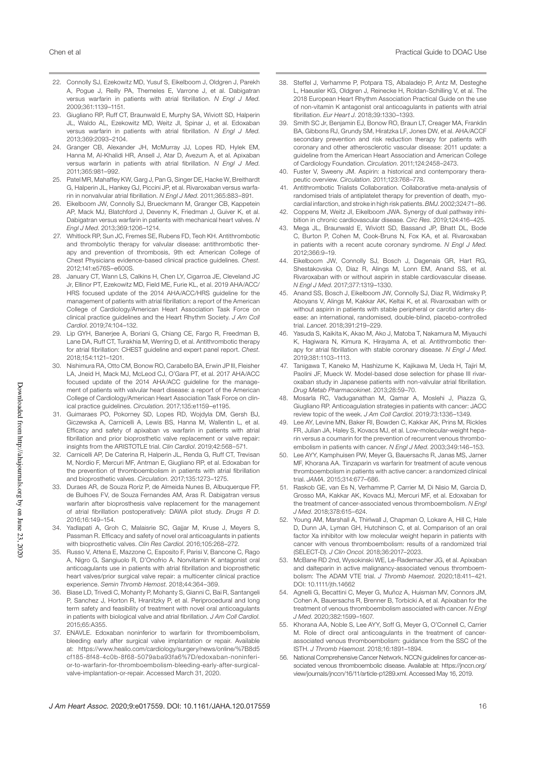- 22. Connolly SJ, Ezekowitz MD, Yusuf S, Eikelboom J, Oldgren J, Parekh A, Pogue J, Reilly PA, Themeles E, Varrone J, et al. Dabigatran versus warfarin in patients with atrial fibrillation. *N Engl J Med*. 2009;361:1139–1151.
- 23. Giugliano RP, Ruff CT, Braunwald E, Murphy SA, Wiviott SD, Halperin JL, Waldo AL, Ezekowitz MD, Weitz JI, Spinar J, et al. Edoxaban versus warfarin in patients with atrial fibrillation. *N Engl J Med*. 2013;369:2093–2104.
- 24. Granger CB, Alexander JH, McMurray JJ, Lopes RD, Hylek EM, Hanna M, Al-Khalidi HR, Ansell J, Atar D, Avezum A, et al. Apixaban versus warfarin in patients with atrial fibrillation. *N Engl J Med*. 2011;365:981–992.
- 25. Patel MR, Mahaffey KW, Garg J, Pan G, Singer DE, Hacke W, Breithardt G, Halperin JL, Hankey GJ, Piccini JP, et al. Rivaroxaban versus warfarin in nonvalvular atrial fibrillation. *N Engl J Med*. 2011;365:883–891.
- 26. Eikelboom JW, Connolly SJ, Brueckmann M, Granger CB, Kappetein AP, Mack MJ, Blatchford J, Devenny K, Friedman J, Guiver K, et al. Dabigatran versus warfarin in patients with mechanical heart valves. *N Engl J Med*. 2013;369:1206–1214.
- 27. Whitlock RP, Sun JC, Fremes SE, Rubens FD, Teoh KH. Antithrombotic and thrombolytic therapy for valvular disease: antithrombotic therapy and prevention of thrombosis, 9th ed: American College of Chest Physicians evidence-based clinical practice guidelines. *Chest*. 2012;141:e576S–e600S.
- 28. January CT, Wann LS, Calkins H, Chen LY, Cigarroa JE, Cleveland JC Jr, Ellinor PT, Ezekowitz MD, Field ME, Furie KL, et al. 2019 AHA/ACC/ HRS focused update of the 2014 AHA/ACC/HRS guideline for the management of patients with atrial fibrillation: a report of the American College of Cardiology/American Heart Association Task Force on clinical practice guidelines and the Heart Rhythm Society. *J Am Coll Cardiol*. 2019;74:104–132.
- 29. Lip GYH, Banerjee A, Boriani G, Chiang CE, Fargo R, Freedman B, Lane DA, Ruff CT, Turakhia M, Werring D, et al. Antithrombotic therapy for atrial fibrillation: CHEST guideline and expert panel report. *Chest*. 2018;154:1121–1201.
- 30. Nishimura RA, Otto CM, Bonow RO, Carabello BA, Erwin JP III, Fleisher LA, Jneid H, Mack MJ, McLeod CJ, O'Gara PT, et al. 2017 AHA/ACC focused update of the 2014 AHA/ACC quideline for the management of patients with valvular heart disease: a report of the American College of Cardiology/American Heart Association Task Force on clinical practice guidelines. *Circulation*. 2017;135:e1159–e1195.
- 31. Guimaraes PO, Pokorney SD, Lopes RD, Wojdyla DM, Gersh BJ, Giczewska A, Carnicelli A, Lewis BS, Hanna M, Wallentin L, et al. Efficacy and safety of apixaban vs warfarin in patients with atrial fibrillation and prior bioprosthetic valve replacement or valve repair: insights from the ARISTOTLE trial. *Clin Cardiol*. 2019;42:568–571.
- 32. Carnicelli AP, De Caterina R, Halperin JL, Renda G, Ruff CT, Trevisan M, Nordio F, Mercuri MF, Antman E, Giugliano RP, et al. Edoxaban for the prevention of thromboembolism in patients with atrial fibrillation and bioprosthetic valves. *Circulation*. 2017;135:1273–1275.
- 33. Duraes AR, de Souza Roriz P, de Almeida Nunes B, Albuquerque FP, de Bulhoes FV, de Souza Fernandes AM, Aras R. Dabigatran versus warfarin after bioprosthesis valve replacement for the management of atrial fibrillation postoperatively: DAWA pilot study. *Drugs R D*. 2016;16:149–154.
- 34. Yadlapati A, Groh C, Malaisrie SC, Gajjar M, Kruse J, Meyers S, Passman R. Efficacy and safety of novel oral anticoagulants in patients with bioprosthetic valves. *Clin Res Cardiol*. 2016;105:268–272.
- 35. Russo V, Attena E, Mazzone C, Esposito F, Parisi V, Bancone C, Rago A, Nigro G, Sangiuolo R, D'Onofrio A. Nonvitamin K antagonist oral anticoagulants use in patients with atrial fibrillation and bioprosthetic heart valves/prior surgical valve repair: a multicenter clinical practice experience. *Semin Thromb Hemost*. 2018;44:364–369.
- 36. Biase LD, Trivedi C, Mohanty P, Mohanty S, Gianni C, Bai R, Santangeli P, Sanchez J, Horton R, Hranitzky P, et al. Periprocedural and long term safety and feasibility of treatment with novel oral anticoagulants in patients with biological valve and atrial fibrillation. *J Am Coll Cardiol*. 2015;65:A355.
- 37. ENAVLE. Edoxaban noninferior to warfarin for thromboembolism, bleeding early after surgical valve implantation or repair. Available at: https://www.healio.com/cardiology/surgery/news/online/%7B8d5 cf185-8f48-4c0b-8f68-5079aba93fa6%7D/edoxaban-noninferior-to-warfarin-for-thromboembolism-bleeding-early-after-surgicalvalve-implantation-or-repair. Accessed March 31, 2020.
- 38. Steffel J, Verhamme P, Potpara TS, Albaladejo P, Antz M, Desteghe L, Haeusler KG, Oldgren J, Reinecke H, Roldan-Schilling V, et al. The 2018 European Heart Rhythm Association Practical Guide on the use of non-vitamin K antagonist oral anticoagulants in patients with atrial fibrillation. *Eur Heart J*. 2018;39:1330–1393.
- 39. Smith SC Jr, Benjamin EJ, Bonow RO, Braun LT, Creager MA, Franklin BA, Gibbons RJ, Grundy SM, Hiratzka LF, Jones DW, et al. AHA/ACCF secondary prevention and risk reduction therapy for patients with coronary and other atherosclerotic vascular disease: 2011 update: a guideline from the American Heart Association and American College of Cardiology Foundation. *Circulation*. 2011;124:2458–2473.
- Fuster V, Sweeny JM. Aspirin: a historical and contemporary therapeutic overview. *Circulation*. 2011;123:768–778.
- 41. Antithrombotic Trialists Collaboration. Collaborative meta-analysis of randomised trials of antiplatelet therapy for prevention of death, myocardial infarction, and stroke in high risk patients. *BMJ*. 2002;324:71–86.
- 42. Coppens M, Weitz JI, Eikelboom JWA. Synergy of dual pathway inhibition in chronic cardiovascular disease. *Circ Res*. 2019;124:416–425.
- 43. Mega JL, Braunwald E, Wiviott SD, Bassand JP, Bhatt DL, Bode C, Burton P, Cohen M, Cook-Bruns N, Fox KA, et al. Rivaroxaban in patients with a recent acute coronary syndrome. *N Engl J Med*. 2012;366:9–19.
- 44. Eikelboom JW, Connolly SJ, Bosch J, Dagenais GR, Hart RG, Shestakovska O, Diaz R, Alings M, Lonn EM, Anand SS, et al. Rivaroxaban with or without aspirin in stable cardiovascular disease. *N Engl J Med*. 2017;377:1319–1330.
- 45. Anand SS, Bosch J, Eikelboom JW, Connolly SJ, Diaz R, Widimsky P, Aboyans V, Alings M, Kakkar AK, Keltai K, et al. Rivaroxaban with or without aspirin in patients with stable peripheral or carotid artery disease: an international, randomised, double-blind, placebo-controlled trial. *Lancet*. 2018;391:219–229.
- 46. Yasuda S, Kaikita K, Akao M, Ako J, Matoba T, Nakamura M, Miyauchi K, Hagiwara N, Kimura K, Hirayama A, et al. Antithrombotic therapy for atrial fibrillation with stable coronary disease. *N Engl J Med*. 2019;381:1103–1113.
- 47. Tanigawa T, Kaneko M, Hashizume K, Kajikawa M, Ueda H, Tajiri M, Paolini JF, Mueck W. Model-based dose selection for phase III rivaroxaban study in Japanese patients with non-valvular atrial fibrillation. *Drug Metab Pharmacokinet*. 2013;28:59–70.
- 48. Mosarla RC, Vaduganathan M, Qamar A, Moslehi J, Piazza G, Giugliano RP. Anticoagulation strategies in patients with cancer: JACC review topic of the week. *J Am Coll Cardiol*. 2019;73:1336–1349.
- 49. Lee AY, Levine MN, Baker RI, Bowden C, Kakkar AK, Prins M, Rickles FR, Julian JA, Haley S, Kovacs MJ, et al. Low-molecular-weight heparin versus a coumarin for the prevention of recurrent venous thromboembolism in patients with cancer. *N Engl J Med*. 2003;349:146–153.
- 50. Lee AYY, Kamphuisen PW, Meyer G, Bauersachs R, Janas MS, Jarner MF, Khorana AA. Tinzaparin vs warfarin for treatment of acute venous thromboembolism in patients with active cancer: a randomized clinical trial. *JAMA*. 2015;314:677–686.
- 51. Raskob GE, van Es N, Verhamme P, Carrier M, Di Nisio M, Garcia D, Grosso MA, Kakkar AK, Kovacs MJ, Mercuri MF, et al. Edoxaban for the treatment of cancer-associated venous thromboembolism. *N Engl J Med*. 2018;378:615–624.
- 52. Young AM, Marshall A, Thirlwall J, Chapman O, Lokare A, Hill C, Hale D, Dunn JA, Lyman GH, Hutchinson C, et al. Comparison of an oral factor Xa inhibitor with low molecular weight heparin in patients with cancer with venous thromboembolism: results of a randomized trial (SELECT-D). *J Clin Oncol*. 2018;36:2017–2023.
- 53. McBane RD 2nd, Wysokinski WE, Le-Rademacher JG, et al. Apixaban and dalteparin in active malignancy-associated venous thromboembolism: The ADAM VTE trial. *J Thromb Haemost*. 2020;18:411–421. DOI: 10.1111/jth.14662
- 54. Agnelli G, Becattini C, Meyer G, Muñoz A, Huisman MV, Connors JM, Cohen A, Bauersachs R, Brenner B, Torbicki A, et al. Apixaban for the treatment of venous thromboembolism associated with cancer. *N Engl J Med*. 2020;382:1599–1607.
- 55. Khorana AA, Noble S, Lee AYY, Soff G, Meyer G, O'Connell C, Carrier M. Role of direct oral anticoagulants in the treatment of cancerassociated venous thromboembolism: guidance from the SSC of the ISTH. *J Thromb Haemost*. 2018;16:1891–1894.
- 56. National Comprehensive Cancer Network. NCCN guidelines for cancer-associated venous thromboembolic disease. Available at: https://jnccn.org/ view/journals/jnccn/16/11/article-p1289.xml. Accessed May 16, 2019.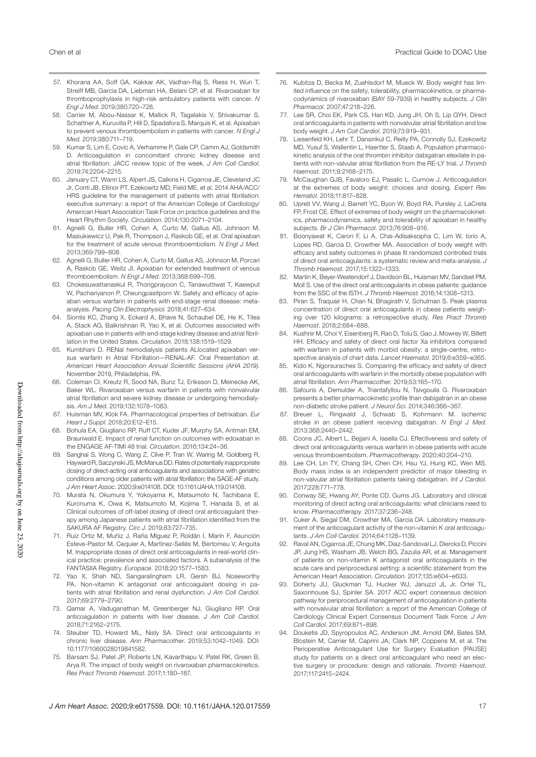- 57. Khorana AA, Soff GA, Kakkar AK, Vadhan-Raj S, Riess H, Wun T, Streiff MB, Garcia DA, Liebman HA, Belani CP, et al. Rivaroxaban for thromboprophylaxis in high-risk ambulatory patients with cancer. *N Engl J Med*. 2019;380:720–728.
- 58. Carrier M, Abou-Nassar K, Mallick R, Tagalakis V, Shivakumar S, Schattner A, Kuruvilla P, Hill D, Spadafora S, Marquis K, et al. Apixaban to prevent venous thromboembolism in patients with cancer. *N Engl J Med*. 2019;380:711–719.
- 59. Kumar S, Lim E, Covic A, Verhamme P, Gale CP, Camm AJ, Goldsmith D. Anticoagulation in concomitant chronic kidney disease and atrial fibrillation: JACC review topic of the week. *J Am Coll Cardiol*. 2019;74:2204–2215.
- 60. January CT, Wann LS, Alpert JS, Calkins H, Cigarroa JE, Cleveland JC Jr, Conti JB, Ellinor PT, Ezekowitz MD, Field ME, et al. 2014 AHA/ACC/ HRS guideline for the management of patients with atrial fibrillation: executive summary: a report of the American College of Cardiology/ American Heart Association Task Force on practice guidelines and the Heart Rhythm Society. *Circulation*. 2014;130:2071–2104.
- 61. Agnelli G, Buller HR, Cohen A, Curto M, Gallus AS, Johnson M, Masiukiewicz U, Pak R, Thompson J, Raskob GE, et al. Oral apixaban for the treatment of acute venous thromboembolism. *N Engl J Med*. 2013;369:799–808.
- 62. Agnelli G, Buller HR, Cohen A, Curto M, Gallus AS, Johnson M, Porcari A, Raskob GE, Weitz JI. Apixaban for extended treatment of venous thromboembolism. *N Engl J Med*. 2013;368:699–708.
- 63. Chokesuwattanaskul R, Thongprayoon C, Tanawuttiwat T, Kaewput W, Pachariyanon P, Cheungpasitporn W. Safety and efficacy of apixaban versus warfarin in patients with end-stage renal disease: metaanalysis. *Pacing Clin Electrophysiol*. 2018;41:627–634.
- 64. Siontis KC, Zhang X, Eckard A, Bhave N, Schaubel DE, He K, Tilea A, Stack AG, Balkrishnan R, Yao X, et al. Outcomes associated with apixaban use in patients with end-stage kidney disease and atrial fibrillation in the United States. *Circulation*. 2018;138:1519–1529.
- 65. Kumbhani D. RENal hemodialysis patients ALlocated apixaban versus warfarin in Atrial Fibrillation—RENAL-AF. Oral Presentation at. *American Heart Association Annual Scientific Sessions (AHA 2019)*. November 2019, Philadelphia, PA.
- 66. Coleman CI, Kreutz R, Sood NA, Bunz TJ, Eriksson D, Meinecke AK, Baker WL. Rivaroxaban versus warfarin in patients with nonvalvular atrial fibrillation and severe kidney disease or undergoing hemodialysis. *Am J Med*. 2019;132:1078–1083.
- 67. Huisman MV, Klok FA. Pharmacological properties of betrixaban. *Eur Heart J Suppl*. 2018;20:E12–E15.
- 68. Bohula EA, Giugliano RP, Ruff CT, Kuder JF, Murphy SA, Antman EM, Braunwald E. Impact of renal function on outcomes with edoxaban in the ENGAGE AF-TIMI 48 trial. *Circulation*. 2016;134:24–36.
- 69. Sanghai S, Wong C, Wang Z, Clive P, Tran W, Waring M, Goldberg R, Hayward R, Saczynski JS, McManus DD. Rates of potentially inappropriate dosing of direct-acting oral anticoagulants and associations with geriatric conditions among older patients with atrial fibrillation: the SAGE-AF study. *J Am Heart Assoc*. 2020;9:e014108. DOI: 10.1161/JAHA.119.014108.
- 70. Murata N, Okumura Y, Yokoyama K, Matsumoto N, Tachibana E, Kuronuma K, Oiwa K, Matsumoto M, Kojima T, Hanada S, et al. Clinical outcomes of off-label dosing of direct oral anticoagulant therapy among Japanese patients with atrial fibrillation identified from the SAKURA AF Registry. *Circ J*. 2019;83:727–735.
- 71. Ruiz Ortiz M, Muñiz J, Raña Míguez P, Roldán I, Marín F, Asunción Esteve-Pastor M, Cequier A, Martínez-Sellés M, Bertomeu V, Anguita M. Inappropriate doses of direct oral anticoagulants in real-world clinical practice: prevalence and associated factors. A subanalysis of the FANTASIIA Registry. *Europace*. 2018;20:1577–1583.
- 72. Yao X, Shah ND, Sangaralingham LR, Gersh BJ, Noseworthy PA. Non-vitamin K antagonist oral anticoagulant dosing in patients with atrial fibrillation and renal dysfunction. *J Am Coll Cardiol*. 2017;69:2779–2790.
- 73. Qamar A, Vaduganathan M, Greenberger NJ, Giugliano RP. Oral anticoagulation in patients with liver disease. *J Am Coll Cardiol*. 2018;71:2162–2175.
- 74. Steuber TD, Howard ML, Nisly SA. Direct oral anticoagulants in chronic liver disease. *Ann Pharmacother*. 2019;53:1042–1049. DOI: 10.1177/1060028019841582.
- 75. Barsam SJ, Patel JP, Roberts LN, Kavarthapu V, Patel RK, Green B, Arya R. The impact of body weight on rivaroxaban pharmacokinetics. *Res Pract Thromb Haemost*. 2017;1:180–187.
- 76. Kubitza D, Becka M, Zuehlsdorf M, Mueck W. Body weight has limited influence on the safety, tolerability, pharmacokinetics, or pharmacodynamics of rivaroxaban (BAY 59-7939) in healthy subjects. *J Clin Pharmacol*. 2007;47:218–226.
- 77. Lee SR, Choi EK, Park CS, Han KD, Jung JH, Oh S, Lip GYH. Direct oral anticoagulants in patients with nonvalvular atrial fibrillation and low body weight. *J Am Coll Cardiol*. 2019;73:919–931.
- 78. Liesenfeld KH, Lehr T, Dansirikul C, Reilly PA, Connolly SJ, Ezekowitz MD, Yusuf S, Wallentin L, Haertter S, Staab A. Population pharmacokinetic analysis of the oral thrombin inhibitor dabigatran etexilate in patients with non-valvular atrial fibrillation from the RE-LY trial. *J Thromb Haemost*. 2011;9:2168–2175.
- 79. McCaughan GJB, Favaloro EJ, Pasalic L, Curnow J. Anticoagulation at the extremes of body weight: choices and dosing. *Expert Rev Hematol*. 2018;11:817–828.
- 80. Upreti VV, Wang J, Barrett YC, Byon W, Boyd RA, Pursley J, LaCreta FP, Frost CE. Effect of extremes of body weight on the pharmacokinetics, pharmacodynamics, safety and tolerability of apixaban in healthy subjects. *Br J Clin Pharmacol*. 2013;76:908–916.
- 81. Boonyawat K, Caron F, Li A, Chai-Adisaksopha C, Lim W, Iorio A, Lopes RD, Garcia D, Crowther MA. Association of body weight with efficacy and safety outcomes in phase III randomized controlled trials of direct oral anticoagulants: a systematic review and meta-analysis. *J Thromb Haemost*. 2017;15:1322–1333.
- 82. Martin K, Beyer-Westendorf J, Davidson BL, Huisman MV, Sandset PM, Moll S. Use of the direct oral anticoagulants in obese patients: guidance from the SSC of the ISTH. *J Thromb Haemost*. 2016;14:1308–1313.
- 83. Piran S, Traquair H, Chan N, Bhagirath V, Schulman S. Peak plasma concentration of direct oral anticoagulants in obese patients weighing over 120 kilograms: a retrospective study. *Res Pract Thromb Haemost*. 2018;2:684–688.
- 84. Kushnir M, Choi Y, Eisenberg R, Rao D, Tolu S, Gao J, Mowrey W, Billett HH. Efficacy and safety of direct oral factor Xa inhibitors compared with warfarin in patients with morbid obesity: a single-centre, retrospective analysis of chart data. *Lancet Haematol*. 2019;6:e359–e365.
- 85. Kido K, Ngorsuraches S. Comparing the efficacy and safety of direct oral anticoagulants with warfarin in the morbidly obese population with atrial fibrillation. *Ann Pharmacother*. 2019;53:165–170.
- 86. Safouris A, Demulder A, Triantafyllou N, Tsivgoulis G. Rivaroxaban presents a better pharmacokinetic profile than dabigatran in an obese non-diabetic stroke patient. *J Neurol Sci*. 2014;346:366–367.
- 87. Breuer L, Ringwald J, Schwab S, Kohrmann M. Ischemic stroke in an obese patient receiving dabigatran. *N Engl J Med*. 2013;368:2440–2442.
- 88. Coons JC, Albert L, Bejjani A, Iasella CJ. Effectiveness and safety of direct oral anticoagulants versus warfarin in obese patients with acute venous thromboembolism. *Pharmacotherapy*. 2020;40:204–210.
- 89. Lee CH, Lin TY, Chang SH, Chen CH, Hsu YJ, Hung KC, Wen MS. Body mass index is an independent predictor of major bleeding in non-valvular atrial fibrillation patients taking dabigatran. *Int J Cardiol*. 2017;228:771–778.
- 90. Conway SE, Hwang AY, Ponte CD, Gums JG. Laboratory and clinical monitoring of direct acting oral anticoagulants: what clinicians need to know. *Pharmacotherapy*. 2017;37:236–248.
- 91. Cuker A, Siegal DM, Crowther MA, Garcia DA. Laboratory measurement of the anticoagulant activity of the non-vitamin K oral anticoagulants. *J Am Coll Cardiol*. 2014;64:1128–1139.
- 92. Raval AN, Cigarroa JE, Chung MK, Diaz-Sandoval LJ, Diercks D, Piccini JP, Jung HS, Washam JB, Welch BG, Zazulia AR, et al. Management of patients on non-vitamin K antagonist oral anticoagulants in the acute care and periprocedural setting: a scientific statement from the American Heart Association. *Circulation*. 2017;135:e604–e633.
- 93. Doherty JU, Gluckman TJ, Hucker WJ, Januzzi JL Jr, Ortel TL, Saxonhouse SJ, Spinler SA. 2017 ACC expert consensus decision pathway for periprocedural management of anticoagulation in patients with nonvalvular atrial fibrillation: a report of the American College of Cardiology Clinical Expert Consensus Document Task Force. *J Am Coll Cardiol*. 2017;69:871–898.
- 94. Douketis JD, Spyropoulos AC, Anderson JM, Arnold DM, Bates SM, Blostein M, Carrier M, Caprini JA, Clark NP, Coppens M, et al. The Perioperative Anticoagulant Use for Surgery Evaluation (PAUSE) study for patients on a direct oral anticoagulant who need an elective surgery or procedure: design and rationale. *Thromb Haemost*. 2017;117:2415–2424.